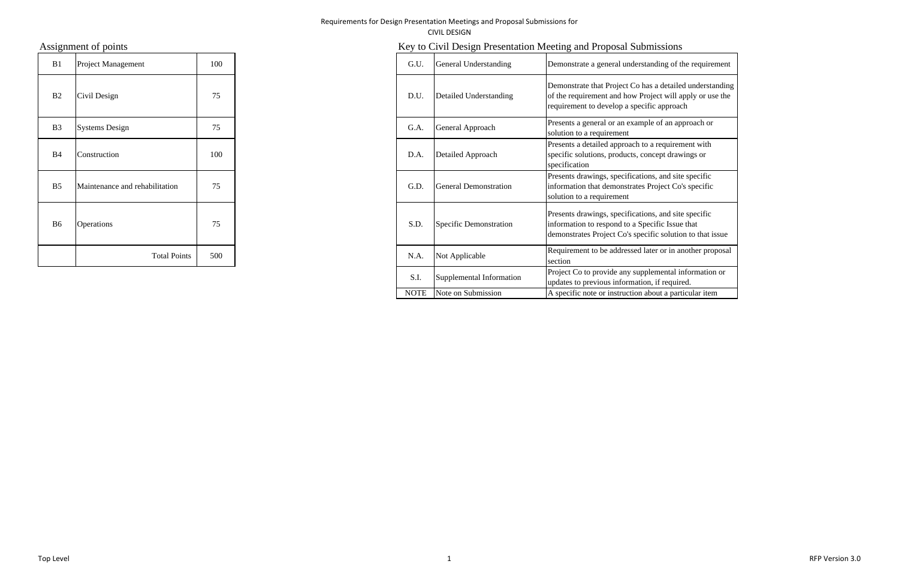| B1             | Project Management             | 100 | G.U. | General Understanding        |
|----------------|--------------------------------|-----|------|------------------------------|
| B2             | Civil Design                   | 75  | D.U. | Detailed Understanding       |
| B <sub>3</sub> | <b>Systems Design</b>          | 75  | G.A. | General Approach             |
| <b>B</b> 4     | Construction                   | 100 | D.A. | Detailed Approach            |
| B <sub>5</sub> | Maintenance and rehabilitation | 75  | G.D. | <b>General Demonstration</b> |
| B <sub>6</sub> | Operations                     | 75  | S.D. | Specific Demonstration       |
|                | <b>Total Points</b>            | 500 | N.A. | Not Applicable               |

# Assignment of points **Key to Civil Design Presentation Meeting and Proposal Submissions**

| B1             | Project Management             | 100 | G.U.        | General Understanding    | Demonstrate a general understanding of the requirement                                                                                                               |
|----------------|--------------------------------|-----|-------------|--------------------------|----------------------------------------------------------------------------------------------------------------------------------------------------------------------|
| B <sub>2</sub> | Civil Design                   | 75  | D.U.        | Detailed Understanding   | Demonstrate that Project Co has a detailed understanding<br>of the requirement and how Project will apply or use the<br>requirement to develop a specific approach   |
| <b>B3</b>      | <b>Systems Design</b>          | 75  | G.A.        | General Approach         | Presents a general or an example of an approach or<br>solution to a requirement                                                                                      |
| B4             | Construction                   | 100 | D.A.        | Detailed Approach        | Presents a detailed approach to a requirement with<br>specific solutions, products, concept drawings or<br>specification                                             |
| <b>B5</b>      | Maintenance and rehabilitation | 75  | G.D.        | General Demonstration    | Presents drawings, specifications, and site specific<br>information that demonstrates Project Co's specific<br>solution to a requirement                             |
| B6             | <b>Operations</b>              | 75  | S.D.        | Specific Demonstration   | Presents drawings, specifications, and site specific<br>information to respond to a Specific Issue that<br>demonstrates Project Co's specific solution to that issue |
|                | <b>Total Points</b>            | 500 | N.A.        | Not Applicable           | Requirement to be addressed later or in another proposal<br>section                                                                                                  |
|                |                                |     | S.I         | Supplemental Information | Project Co to provide any supplemental information or<br>updates to previous information, if required.                                                               |
|                |                                |     | <b>NOTE</b> | Note on Submission       | A specific note or instruction about a particular item                                                                                                               |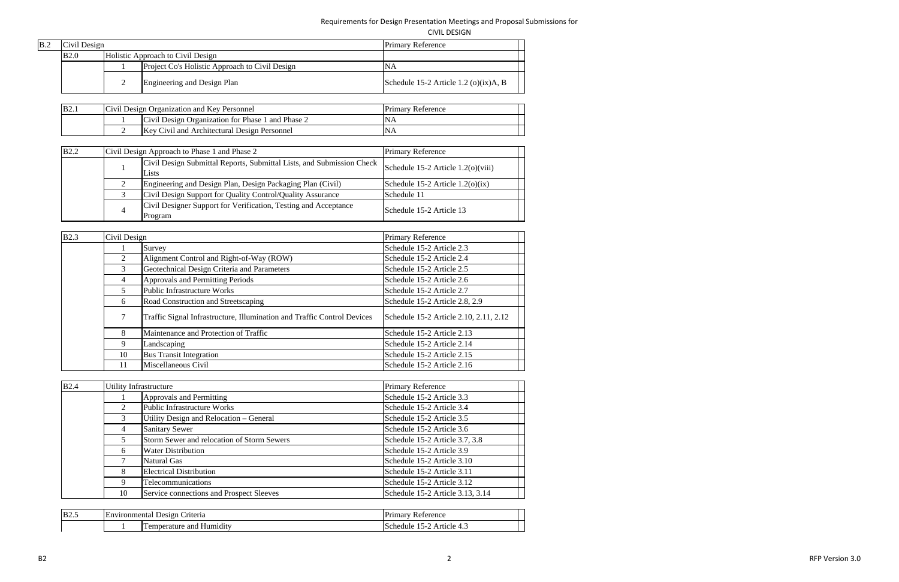CIVIL DESIGN

| B.2 | Civil Design |                                                | <b>Primary Reference</b>                  |  |
|-----|--------------|------------------------------------------------|-------------------------------------------|--|
|     | <b>B2.0</b>  | Holistic Approach to Civil Design              |                                           |  |
|     |              | Project Co's Holistic Approach to Civil Design | ΝA                                        |  |
|     |              | Engineering and Design Plan                    | Schedule 15-2 Article 1.2 (o) $(ix)$ A, B |  |

| <b>B2.1</b> | Civil Design Organization and Key Personnel         | <b>Primary Reference</b> |  |
|-------------|-----------------------------------------------------|--------------------------|--|
|             | Civil Design Organization for Phase 1 and Phase 2   |                          |  |
|             | <b>Key Civil and Architectural Design Personnel</b> |                          |  |

| <b>B2.2</b> |                | Civil Design Approach to Phase 1 and Phase 2                                   | <b>Primary Reference</b>               |  |
|-------------|----------------|--------------------------------------------------------------------------------|----------------------------------------|--|
|             |                | Civil Design Submittal Reports, Submittal Lists, and Submission Check<br>Lists | Schedule $15-2$ Article $1.2(0)(viii)$ |  |
|             |                | Engineering and Design Plan, Design Packaging Plan (Civil)                     | Schedule 15-2 Article $1.2(0)(ix)$     |  |
|             |                | Civil Design Support for Quality Control/Quality Assurance                     | Schedule 11                            |  |
|             | $\overline{4}$ | Civil Designer Support for Verification, Testing and Acceptance<br>Program     | Schedule 15-2 Article 13               |  |

2 and the contract of the contract of the contract of the contract of the contract of the contract of the contract of the contract of the contract of the contract of the contract of the contract of the contract of the cont Version 3.0

| B2.3 | Civil Design   |                                                                         | Primary Reference                      |  |
|------|----------------|-------------------------------------------------------------------------|----------------------------------------|--|
|      |                | Survey                                                                  | Schedule 15-2 Article 2.3              |  |
|      | $\overline{2}$ | Alignment Control and Right-of-Way (ROW)                                | Schedule 15-2 Article 2.4              |  |
|      | 3              | Geotechnical Design Criteria and Parameters                             | Schedule 15-2 Article 2.5              |  |
|      | 4              | Approvals and Permitting Periods                                        | Schedule 15-2 Article 2.6              |  |
|      |                | Public Infrastructure Works                                             | Schedule 15-2 Article 2.7              |  |
|      | 6              | Road Construction and Streetscaping                                     | Schedule 15-2 Article 2.8, 2.9         |  |
|      | 7              | Traffic Signal Infrastructure, Illumination and Traffic Control Devices | Schedule 15-2 Article 2.10, 2.11, 2.12 |  |
|      | 8              | Maintenance and Protection of Traffic                                   | Schedule 15-2 Article 2.13             |  |
|      | 9              | Landscaping                                                             | Schedule 15-2 Article 2.14             |  |
|      | 10             | <b>Bus Transit Integration</b>                                          | Schedule 15-2 Article 2.15             |  |
|      | 11             | Miscellaneous Civil                                                     | Schedule 15-2 Article 2.16             |  |

| B2.4 |    | <b>Utility Infrastructure</b>              | Primary Reference                |
|------|----|--------------------------------------------|----------------------------------|
|      |    | Approvals and Permitting                   | Schedule 15-2 Article 3.3        |
|      | 2  | Public Infrastructure Works                | Schedule 15-2 Article 3.4        |
|      |    | Utility Design and Relocation – General    | Schedule 15-2 Article 3.5        |
|      | 4  | <b>Sanitary Sewer</b>                      | Schedule 15-2 Article 3.6        |
|      | 5  | Storm Sewer and relocation of Storm Sewers | Schedule 15-2 Article 3.7, 3.8   |
|      | 6  | <b>Water Distribution</b>                  | Schedule 15-2 Article 3.9        |
|      |    | <b>Natural Gas</b>                         | Schedule 15-2 Article 3.10       |
|      | 8  | <b>Electrical Distribution</b>             | Schedule 15-2 Article 3.11       |
|      | 9  | Telecommunications                         | Schedule 15-2 Article 3.12       |
|      | 10 | Service connections and Prospect Sleeves   | Schedule 15-2 Article 3.13, 3.14 |

| <b>B2.5</b> | $\overline{\phantom{0}}$<br>on. | riteria<br>Jest on<br>nental<br><b>LJESI:</b>    | rımarv<br>erence<br>4.4                      |
|-------------|---------------------------------|--------------------------------------------------|----------------------------------------------|
|             |                                 | $\rightarrow$<br>. Hum<br>ure<br>and<br>таг<br>. | $^{\circ}$ rticle –<br>schedule<br>٠.<br>r.J |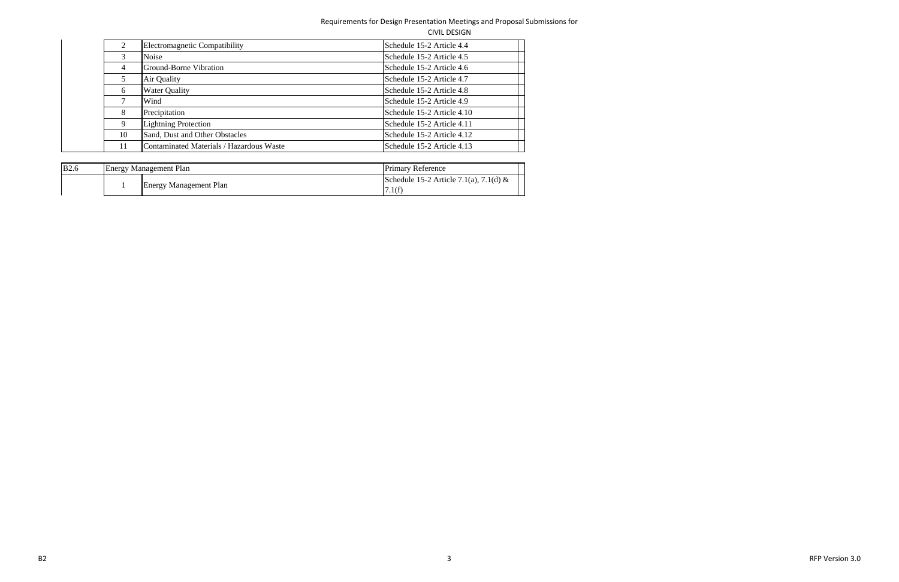CIVIL DESIGN

|    | Electromagnetic Compatibility            | Schedule 15-2 Article 4.4  |
|----|------------------------------------------|----------------------------|
| 3  | Noise                                    | Schedule 15-2 Article 4.5  |
| 4  | Ground-Borne Vibration                   | Schedule 15-2 Article 4.6  |
| 5  | Air Quality                              | Schedule 15-2 Article 4.7  |
| 6  | <b>Water Quality</b>                     | Schedule 15-2 Article 4.8  |
|    | Wind                                     | Schedule 15-2 Article 4.9  |
| 8  | Precipitation                            | Schedule 15-2 Article 4.10 |
| 9  | <b>Lightning Protection</b>              | Schedule 15-2 Article 4.11 |
| 10 | Sand, Dust and Other Obstacles           | Schedule 15-2 Article 4.12 |
| 11 | Contaminated Materials / Hazardous Waste | Schedule 15-2 Article 4.13 |

| <b>B2.6</b> | <b>Energy Management Plan</b> | <b>Primary Reference</b>                         |  |
|-------------|-------------------------------|--------------------------------------------------|--|
|             | <b>Energy Management Plan</b> | Schedule 15-2 Article 7.1(a), 7.1(d) &<br>7.1(f) |  |

 3 RFPVersion 3.0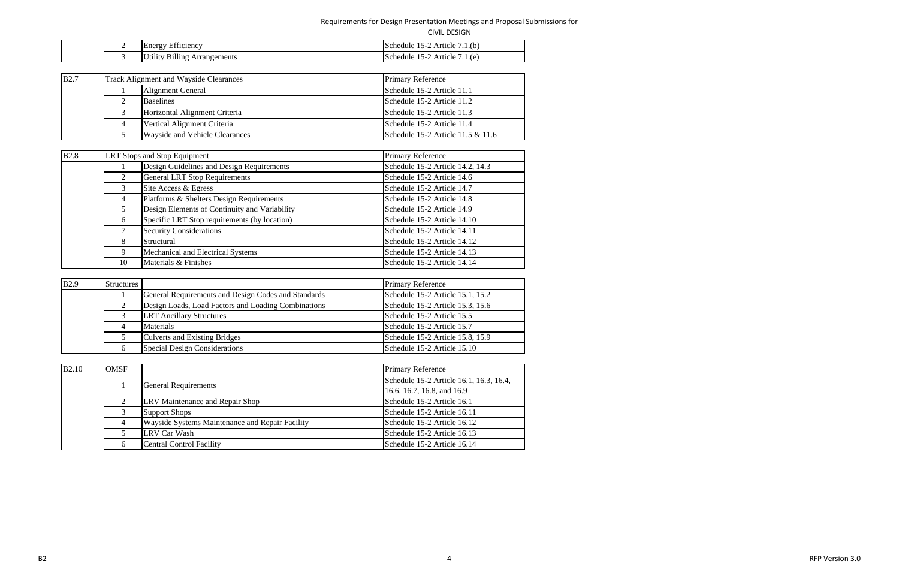| <b>CIVIL DESIGN</b> |
|---------------------|
|---------------------|

| - | $ \sim$<br>hero.<br>iciency          | l.(b<br>$\sim$ $\sim$<br>נווי<br>Article<br>ıе<br>`-   |
|---|--------------------------------------|--------------------------------------------------------|
|   | ents<br>1 n c<br>•лш.<br>È<br>.<br>- | /.1.(e<br>ำ∩h<br>Article<br>tub.<br>ıe<br>$\mathbf{r}$ |

| <b>B2.7</b> |   | <b>Track Alignment and Wayside Clearances</b> | <b>Primary Reference</b>            |
|-------------|---|-----------------------------------------------|-------------------------------------|
|             |   | Alignment General                             | Schedule 15-2 Article 11.1          |
|             |   | <b>Baselines</b>                              | Schedule 15-2 Article 11.2          |
|             |   | Horizontal Alignment Criteria                 | Schedule 15-2 Article 11.3          |
|             | 4 | Vertical Alignment Criteria                   | Schedule 15-2 Article 11.4          |
|             |   | <b>Wayside and Vehicle Clearances</b>         | Schedule 15-2 Article 11.5 $&$ 11.6 |

| <b>B2.8</b> |                | <b>LRT</b> Stops and Stop Equipment           | <b>Primary Reference</b>         |
|-------------|----------------|-----------------------------------------------|----------------------------------|
|             |                | Design Guidelines and Design Requirements     | Schedule 15-2 Article 14.2, 14.3 |
|             | $\overline{2}$ | <b>General LRT Stop Requirements</b>          | Schedule 15-2 Article 14.6       |
|             | 3              | Site Access & Egress                          | Schedule 15-2 Article 14.7       |
|             | $\overline{4}$ | Platforms & Shelters Design Requirements      | Schedule 15-2 Article 14.8       |
|             | 5              | Design Elements of Continuity and Variability | Schedule 15-2 Article 14.9       |
|             | 6              | Specific LRT Stop requirements (by location)  | Schedule 15-2 Article 14.10      |
|             |                | <b>Security Considerations</b>                | Schedule 15-2 Article 14.11      |
|             | 8              | Structural                                    | Schedule 15-2 Article 14.12      |
|             | 9              | Mechanical and Electrical Systems             | Schedule 15-2 Article 14.13      |
|             | 10             | Materials & Finishes                          | Schedule 15-2 Article 14.14      |

| <b>B2.9</b> | Structures                    |                                                     | <b>Primary Reference</b>         |
|-------------|-------------------------------|-----------------------------------------------------|----------------------------------|
|             |                               | General Requirements and Design Codes and Standards | Schedule 15-2 Article 15.1, 15.2 |
|             |                               | Design Loads, Load Factors and Loading Combinations | Schedule 15-2 Article 15.3, 15.6 |
|             |                               | <b>LRT</b> Ancillary Structures                     | Schedule 15-2 Article 15.5       |
|             |                               | <b>Materials</b>                                    | Schedule 15-2 Article 15.7       |
|             | Culverts and Existing Bridges | Schedule 15-2 Article 15.8, 15.9                    |                                  |
|             |                               | <b>Special Design Considerations</b>                | Schedule 15-2 Article 15.10      |

| <b>B2.10</b> | <b>OMSF</b> |                                                        | <b>Primary Reference</b>                |
|--------------|-------------|--------------------------------------------------------|-----------------------------------------|
|              |             |                                                        | Schedule 15-2 Article 16.1, 16.3, 16.4, |
|              |             | <b>General Requirements</b>                            | 16.6, 16.7, 16.8, and 16.9              |
|              | ◠           | LRV Maintenance and Repair Shop                        | Schedule 15-2 Article 16.1              |
|              |             | <b>Support Shops</b>                                   | Schedule 15-2 Article 16.11             |
|              |             | <b>Wayside Systems Maintenance and Repair Facility</b> | Schedule 15-2 Article 16.12             |
|              |             | <b>LRV Car Wash</b>                                    | Schedule 15-2 Article 16.13             |
|              | 6           | <b>Central Control Facility</b>                        | Schedule 15-2 Article 16.14             |

 4 RFPVersion 3.0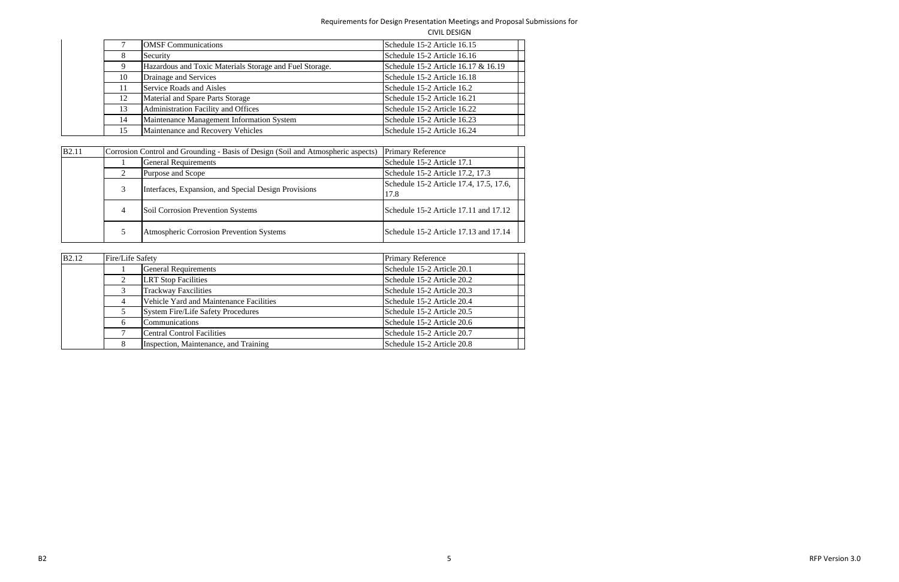|    | <b>OMSF</b> Communications                              | Schedule 15-2 Article 16.15         |
|----|---------------------------------------------------------|-------------------------------------|
| 8  | Security                                                | Schedule 15-2 Article 16.16         |
| 9  | Hazardous and Toxic Materials Storage and Fuel Storage. | Schedule 15-2 Article 16.17 & 16.19 |
| 10 | Drainage and Services                                   | Schedule 15-2 Article 16.18         |
| 11 | Service Roads and Aisles                                | Schedule 15-2 Article 16.2          |
| 12 | Material and Spare Parts Storage                        | Schedule 15-2 Article 16.21         |
| 13 | Administration Facility and Offices                     | Schedule 15-2 Article 16.22         |
| 14 | Maintenance Management Information System               | Schedule 15-2 Article 16.23         |
| 15 | Maintenance and Recovery Vehicles                       | Schedule 15-2 Article 16.24         |

| <b>B2.11</b> |   | <b>Primary Reference</b><br>Corrosion Control and Grounding - Basis of Design (Soil and Atmospheric aspects) |                                                 |  |  |  |  |  |  |  |
|--------------|---|--------------------------------------------------------------------------------------------------------------|-------------------------------------------------|--|--|--|--|--|--|--|
|              |   | <b>General Requirements</b>                                                                                  | Schedule 15-2 Article 17.1                      |  |  |  |  |  |  |  |
|              | 2 | Purpose and Scope                                                                                            | Schedule 15-2 Article 17.2, 17.3                |  |  |  |  |  |  |  |
|              | 3 | Interfaces, Expansion, and Special Design Provisions                                                         | Schedule 15-2 Article 17.4, 17.5, 17.6,<br>17.8 |  |  |  |  |  |  |  |
|              | 4 | Soil Corrosion Prevention Systems                                                                            | Schedule 15-2 Article 17.11 and 17.12           |  |  |  |  |  |  |  |
|              |   | Atmospheric Corrosion Prevention Systems                                                                     | Schedule 15-2 Article 17.13 and 17.14           |  |  |  |  |  |  |  |

| <b>B2.12</b> | Fire/Life Safety |                                           | <b>Primary Reference</b>   |
|--------------|------------------|-------------------------------------------|----------------------------|
|              |                  | <b>General Requirements</b>               | Schedule 15-2 Article 20.1 |
|              |                  | <b>LRT</b> Stop Facilities                | Schedule 15-2 Article 20.2 |
|              |                  | <b>Trackway Faxcilities</b>               | Schedule 15-2 Article 20.3 |
|              | 4                | Vehicle Yard and Maintenance Facilities   | Schedule 15-2 Article 20.4 |
|              |                  | <b>System Fire/Life Safety Procedures</b> | Schedule 15-2 Article 20.5 |
|              | 6                | Communications                            | Schedule 15-2 Article 20.6 |
|              |                  | <b>Central Control Facilities</b>         | Schedule 15-2 Article 20.7 |
|              |                  | Inspection, Maintenance, and Training     | Schedule 15-2 Article 20.8 |

 5 RFPVersion 3.0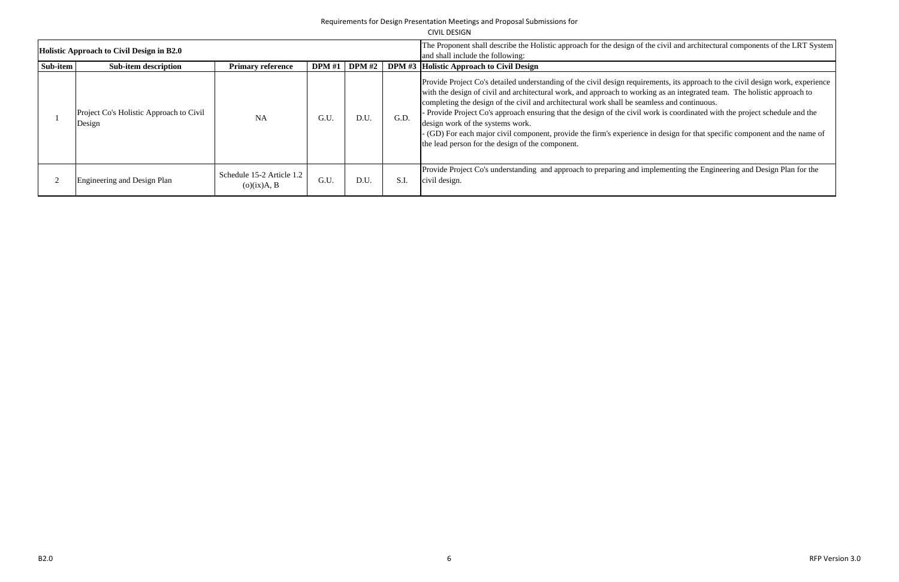|          |                                                   |                                          |     |                   |                                                                                                                                                                | CIVIL DESIGN                                                                                                                                                                                                                                                                                                                                                                                                                                                                                                                                                                                                                                                                                              |
|----------|---------------------------------------------------|------------------------------------------|-----|-------------------|----------------------------------------------------------------------------------------------------------------------------------------------------------------|-----------------------------------------------------------------------------------------------------------------------------------------------------------------------------------------------------------------------------------------------------------------------------------------------------------------------------------------------------------------------------------------------------------------------------------------------------------------------------------------------------------------------------------------------------------------------------------------------------------------------------------------------------------------------------------------------------------|
|          | Holistic Approach to Civil Design in B2.0         |                                          |     |                   | The Proponent shall describe the Holistic approach for the design of the civil and architectural components of the LRT Sys<br>and shall include the following: |                                                                                                                                                                                                                                                                                                                                                                                                                                                                                                                                                                                                                                                                                                           |
| Sub-item | <b>Sub-item description</b>                       | <b>Primary reference</b>                 |     | $DPM #1$ $DPM #2$ |                                                                                                                                                                | DPM #3 Holistic Approach to Civil Design                                                                                                                                                                                                                                                                                                                                                                                                                                                                                                                                                                                                                                                                  |
|          | Project Co's Holistic Approach to Civil<br>Design | NA                                       | G.U | D.U.              | G.D.                                                                                                                                                           | Provide Project Co's detailed understanding of the civil design requirements, its approach to the civil design work, experiently<br>with the design of civil and architectural work, and approach to working as an integrated team. The holistic approach to<br>completing the design of the civil and architectural work shall be seamless and continuous.<br>Provide Project Co's approach ensuring that the design of the civil work is coordinated with the project schedule and the<br>design work of the systems work.<br>(GD) For each major civil component, provide the firm's experience in design for that specific component and the name<br>the lead person for the design of the component. |
|          | Engineering and Design Plan                       | Schedule 15-2 Article 1.2<br>(o)(ix)A, B | G.U | D.U.              | S.I.                                                                                                                                                           | Provide Project Co's understanding and approach to preparing and implementing the Engineering and Design Plan for the<br>civil design.                                                                                                                                                                                                                                                                                                                                                                                                                                                                                                                                                                    |

civil and architectural components of the LRT System

ents, its approach to the civil design work, experience as an integrated team. The holistic approach to ss and continuous.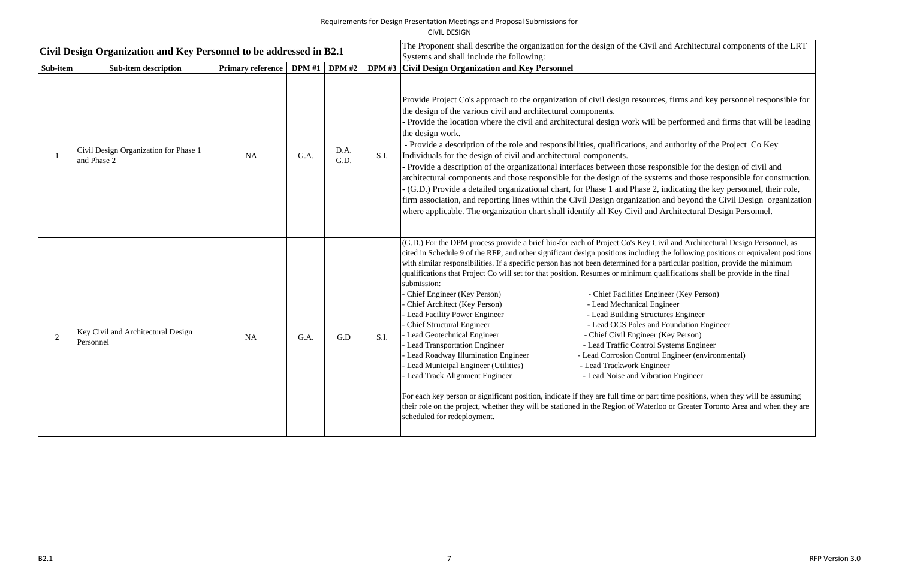|          | Civil Design Organization and Key Personnel to be addressed in B2.1 |                          |      |               |      | The Proponent shall describe the organization for the design of the Civil and Architectural components of the LRT<br>Systems and shall include the following:                                                                                                                                                                                                                                                                                                                                                                                                                                                                                                                                                                                                                                                                                                                                                                                                                                                                                                                                                                                                                                                                                                                                                                                                                                                                                                                                                                     |
|----------|---------------------------------------------------------------------|--------------------------|------|---------------|------|-----------------------------------------------------------------------------------------------------------------------------------------------------------------------------------------------------------------------------------------------------------------------------------------------------------------------------------------------------------------------------------------------------------------------------------------------------------------------------------------------------------------------------------------------------------------------------------------------------------------------------------------------------------------------------------------------------------------------------------------------------------------------------------------------------------------------------------------------------------------------------------------------------------------------------------------------------------------------------------------------------------------------------------------------------------------------------------------------------------------------------------------------------------------------------------------------------------------------------------------------------------------------------------------------------------------------------------------------------------------------------------------------------------------------------------------------------------------------------------------------------------------------------------|
| Sub-item | <b>Sub-item description</b>                                         | <b>Primary reference</b> |      | DPM #1 DPM #2 |      | DPM #3 Civil Design Organization and Key Personnel                                                                                                                                                                                                                                                                                                                                                                                                                                                                                                                                                                                                                                                                                                                                                                                                                                                                                                                                                                                                                                                                                                                                                                                                                                                                                                                                                                                                                                                                                |
|          | Civil Design Organization for Phase 1<br>and Phase 2                | <b>NA</b>                | G.A. | D.A.<br>G.D.  | S.I. | Provide Project Co's approach to the organization of civil design resources, firms and key personnel responsible for<br>the design of the various civil and architectural components.<br>- Provide the location where the civil and architectural design work will be performed and firms that will be leading<br>the design work.<br>- Provide a description of the role and responsibilities, qualifications, and authority of the Project Co Key<br>Individuals for the design of civil and architectural components.<br>- Provide a description of the organizational interfaces between those responsible for the design of civil and<br>architectural components and those responsible for the design of the systems and those responsible for construction<br>(G.D.) Provide a detailed organizational chart, for Phase 1 and Phase 2, indicating the key personnel, their role,<br>firm association, and reporting lines within the Civil Design organization and beyond the Civil Design organization<br>where applicable. The organization chart shall identify all Key Civil and Architectural Design Personnel.                                                                                                                                                                                                                                                                                                                                                                                                       |
|          | Key Civil and Architectural Design<br>Personnel                     | <b>NA</b>                | G.A. | G.D           | S.I. | (G.D.) For the DPM process provide a brief bio-for each of Project Co's Key Civil and Architectural Design Personnel, as<br>cited in Schedule 9 of the RFP, and other significant design positions including the following positions or equivalent position<br>with similar responsibilities. If a specific person has not been determined for a particular position, provide the minimum<br>qualifications that Project Co will set for that position. Resumes or minimum qualifications shall be provide in the final<br>submission:<br>Chief Engineer (Key Person)<br>- Chief Facilities Engineer (Key Person)<br>Chief Architect (Key Person)<br>- Lead Mechanical Engineer<br>Lead Facility Power Engineer<br>- Lead Building Structures Engineer<br><b>Chief Structural Engineer</b><br>- Lead OCS Poles and Foundation Engineer<br>Lead Geotechnical Engineer<br>- Chief Civil Engineer (Key Person)<br>- Lead Transportation Engineer<br>- Lead Traffic Control Systems Engineer<br>Lead Roadway Illumination Engineer<br>- Lead Corrosion Control Engineer (environmental)<br>Lead Municipal Engineer (Utilities)<br>- Lead Trackwork Engineer<br>Lead Track Alignment Engineer<br>- Lead Noise and Vibration Engineer<br>For each key person or significant position, indicate if they are full time or part time positions, when they will be assuming<br>their role on the project, whether they will be stationed in the Region of Waterloo or Greater Toronto Area and when they are<br>scheduled for redeployment. |

- neer (Key Person) ures Engineer Foundation Engineer Key Person) Systems Engineer Engineer (environmental)
- 
- tion Engineer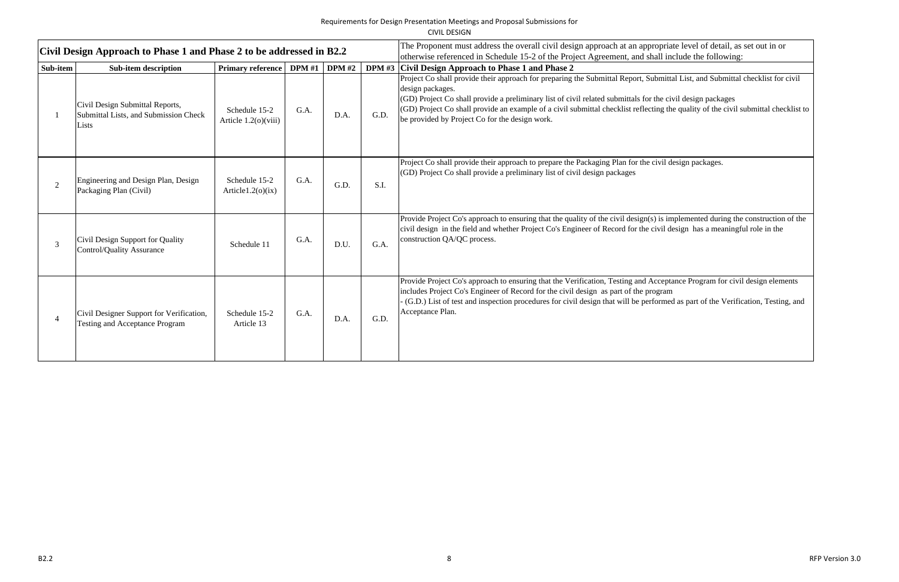CIVIL DESIGN

|          | Civil Design Approach to Phase 1 and Phase 2 to be addressed in B2.2              |                                       |               |               |      | The Proponent must address the overall civil design approach at an appropriate level of detail, as set out in or<br>otherwise referenced in Schedule 15-2 of the Project Agreement, and shall include the following:                                                                                                                                                                                                                         |
|----------|-----------------------------------------------------------------------------------|---------------------------------------|---------------|---------------|------|----------------------------------------------------------------------------------------------------------------------------------------------------------------------------------------------------------------------------------------------------------------------------------------------------------------------------------------------------------------------------------------------------------------------------------------------|
| Sub-item | <b>Sub-item description</b>                                                       | <b>Primary reference</b>              | <b>DPM</b> #1 | <b>DPM</b> #2 |      | DPM #3 Civil Design Approach to Phase 1 and Phase 2                                                                                                                                                                                                                                                                                                                                                                                          |
|          | Civil Design Submittal Reports,<br>Submittal Lists, and Submission Check<br>Lists | Schedule 15-2<br>Article 1.2(o)(viii) | G.A.          | D.A.          | G.D. | Project Co shall provide their approach for preparing the Submittal Report, Submittal List, and Submittal checklist for or<br>design packages.<br>(GD) Project Co shall provide a preliminary list of civil related submittals for the civil design packages<br>(GD) Project Co shall provide an example of a civil submittal checklist reflecting the quality of the civil submittal chec<br>be provided by Project Co for the design work. |
|          | Engineering and Design Plan, Design<br>Packaging Plan (Civil)                     | Schedule 15-2<br>Article $1.2(0)(ix)$ | G.A.          | G.D.          | S.I. | Project Co shall provide their approach to prepare the Packaging Plan for the civil design packages.<br>(GD) Project Co shall provide a preliminary list of civil design packages                                                                                                                                                                                                                                                            |
|          | Civil Design Support for Quality<br><b>Control/Quality Assurance</b>              | Schedule 11                           | G.A.          | D.U.          | G.A. | Provide Project Co's approach to ensuring that the quality of the civil design(s) is implemented during the construction<br>civil design in the field and whether Project Co's Engineer of Record for the civil design has a meaningful role in the<br>construction QA/QC process.                                                                                                                                                           |
|          | Civil Designer Support for Verification,<br><b>Testing and Acceptance Program</b> | Schedule 15-2<br>Article 13           | G.A.          | D.A.          | G.D. | Provide Project Co's approach to ensuring that the Verification, Testing and Acceptance Program for civil design eleme<br>includes Project Co's Engineer of Record for the civil design as part of the program<br>(G.D.) List of test and inspection procedures for civil design that will be performed as part of the Verification, Testing<br>Acceptance Plan.                                                                             |

Provide their approximate the Submittal checklist for civil he civil design packages ng the quality of the civil submittal checklist to vil design packages. is implemented during the construction of the vil design has a meaningful role in the ceptance Program for civil design elements list and inspected as part of the Verification, Testing, and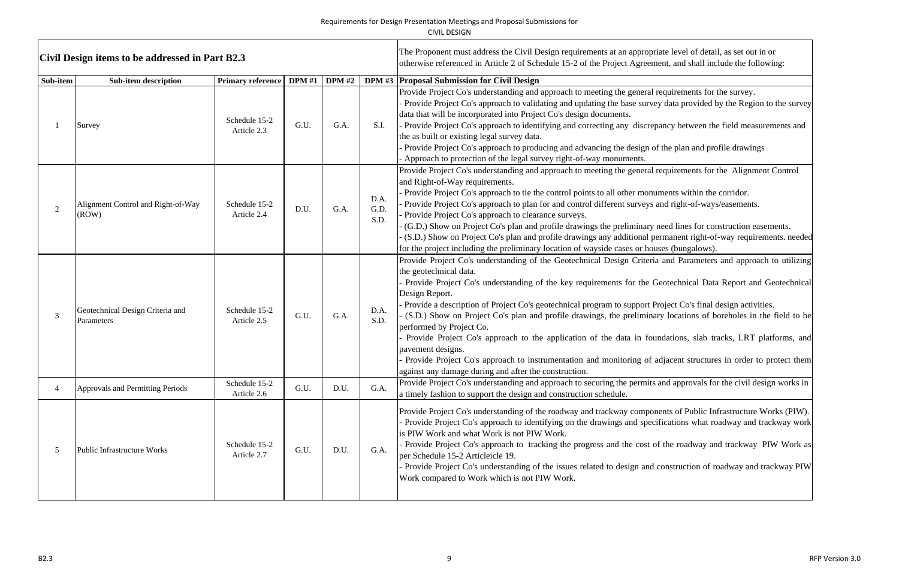| Civil Design items to be addressed in Part B2.3 |                                                |                              |      |               |                      | The Proponent must address the Civil Design requirements at an appropriate level of detail, as set out in or<br>otherwise referenced in Article 2 of Schedule 15-2 of the Project Agreement, and shall include the following:                                                                                                                                                                                                                                                                                                                                                                                                                                                                                                                                                                                                                                 |
|-------------------------------------------------|------------------------------------------------|------------------------------|------|---------------|----------------------|---------------------------------------------------------------------------------------------------------------------------------------------------------------------------------------------------------------------------------------------------------------------------------------------------------------------------------------------------------------------------------------------------------------------------------------------------------------------------------------------------------------------------------------------------------------------------------------------------------------------------------------------------------------------------------------------------------------------------------------------------------------------------------------------------------------------------------------------------------------|
| Sub-item                                        | <b>Sub-item description</b>                    | Primary reference   DPM #1   |      | <b>DPM</b> #2 |                      | DPM #3 Proposal Submission for Civil Design                                                                                                                                                                                                                                                                                                                                                                                                                                                                                                                                                                                                                                                                                                                                                                                                                   |
|                                                 | Survey                                         | Schedule 15-2<br>Article 2.3 | G.U. | G.A.          | S.I.                 | Provide Project Co's understanding and approach to meeting the general requirements for the survey.<br>Provide Project Co's approach to validating and updating the base survey data provided by the Region to the survey<br>data that will be incorporated into Project Co's design documents.<br>- Provide Project Co's approach to identifying and correcting any discrepancy between the field measurements and<br>the as built or existing legal survey data.<br>Provide Project Co's approach to producing and advancing the design of the plan and profile drawings<br>Approach to protection of the legal survey right-of-way monuments.                                                                                                                                                                                                              |
|                                                 | Alignment Control and Right-of-Way<br>(ROW)    | Schedule 15-2<br>Article 2.4 | D.U. | G.A.          | D.A.<br>G.D.<br>S.D. | Provide Project Co's understanding and approach to meeting the general requirements for the Alignment Control<br>and Right-of-Way requirements.<br>Provide Project Co's approach to tie the control points to all other monuments within the corridor.<br>Provide Project Co's approach to plan for and control different surveys and right-of-ways/easements.<br>Provide Project Co's approach to clearance surveys.<br>(G.D.) Show on Project Co's plan and profile drawings the preliminary need lines for construction easements.<br>(S.D.) Show on Project Co's plan and profile drawings any additional permanent right-of-way requirements. needed<br>for the project including the preliminary location of wayside cases or houses (bungalows).                                                                                                       |
|                                                 | Geotechnical Design Criteria and<br>Parameters | Schedule 15-2<br>Article 2.5 | G.U. | G.A.          | D.A.<br>S.D.         | Provide Project Co's understanding of the Geotechnical Design Criteria and Parameters and approach to utilizing<br>the geotechnical data.<br>Provide Project Co's understanding of the key requirements for the Geotechnical Data Report and Geotechnical<br>Design Report.<br>- Provide a description of Project Co's geotechnical program to support Project Co's final design activities.<br>(S.D.) Show on Project Co's plan and profile drawings, the preliminary locations of boreholes in the field to be<br>performed by Project Co.<br>Provide Project Co's approach to the application of the data in foundations, slab tracks, LRT platforms, and<br>pavement designs.<br>Provide Project Co's approach to instrumentation and monitoring of adjacent structures in order to protect them<br>against any damage during and after the construction. |
|                                                 | Approvals and Permitting Periods               | Schedule 15-2<br>Article 2.6 | G.U. | D.U.          | G.A.                 | Provide Project Co's understanding and approach to securing the permits and approvals for the civil design works in<br>a timely fashion to support the design and construction schedule.                                                                                                                                                                                                                                                                                                                                                                                                                                                                                                                                                                                                                                                                      |
|                                                 | <b>Public Infrastructure Works</b>             | Schedule 15-2<br>Article 2.7 | G.U. | D.U.          | G.A.                 | Provide Project Co's understanding of the roadway and trackway components of Public Infrastructure Works (PIW).<br>Provide Project Co's approach to identifying on the drawings and specifications what roadway and trackway work<br>is PIW Work and what Work is not PIW Work.<br>Provide Project Co's approach to tracking the progress and the cost of the roadway and trackway PIW Work as<br>per Schedule 15-2 Articleicle 19.<br>Provide Project Co's understanding of the issues related to design and construction of roadway and trackway PIW<br>Work compared to Work which is not PIW Work.                                                                                                                                                                                                                                                        |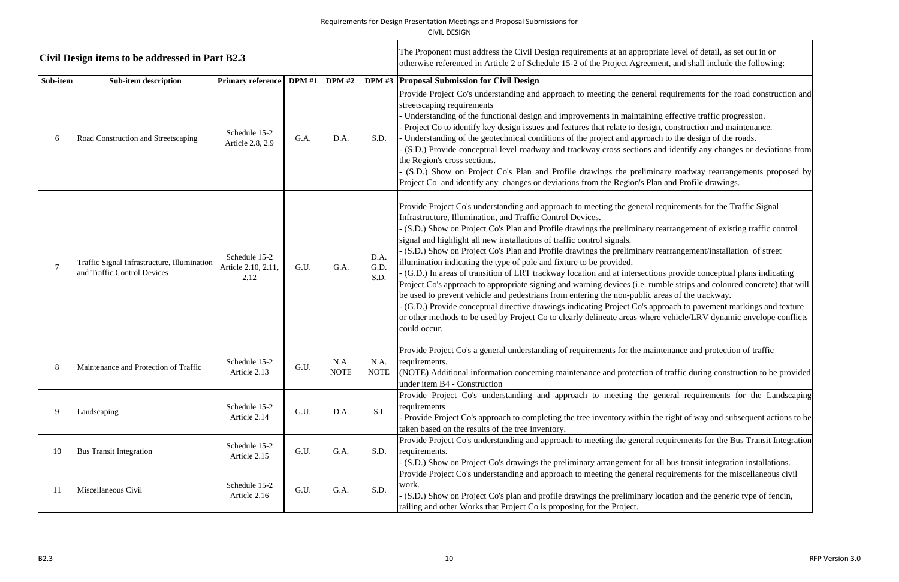|          | Civil Design items to be addressed in Part B2.3                            |                                              |               |                     |                      | The Proponent must address the Civil Design requirements at an appropriate level of detail, as set out in or<br>otherwise referenced in Article 2 of Schedule 15-2 of the Project Agreement, and shall include the following:                                                                                                                                                                                                                                                                                                                                                                                                                                                                                                                                                                                                                                                                                                                                                                                                                                                                                                                                    |
|----------|----------------------------------------------------------------------------|----------------------------------------------|---------------|---------------------|----------------------|------------------------------------------------------------------------------------------------------------------------------------------------------------------------------------------------------------------------------------------------------------------------------------------------------------------------------------------------------------------------------------------------------------------------------------------------------------------------------------------------------------------------------------------------------------------------------------------------------------------------------------------------------------------------------------------------------------------------------------------------------------------------------------------------------------------------------------------------------------------------------------------------------------------------------------------------------------------------------------------------------------------------------------------------------------------------------------------------------------------------------------------------------------------|
| Sub-item | <b>Sub-item description</b>                                                | <b>Primary reference</b>                     | <b>DPM</b> #1 | <b>DPM</b> #2       |                      | DPM #3 Proposal Submission for Civil Design                                                                                                                                                                                                                                                                                                                                                                                                                                                                                                                                                                                                                                                                                                                                                                                                                                                                                                                                                                                                                                                                                                                      |
|          | Road Construction and Streetscaping                                        | Schedule 15-2<br>Article 2.8, 2.9            | G.A.          | D.A.                | S.D.                 | Provide Project Co's understanding and approach to meeting the general requirements for the road construction and<br>streetscaping requirements<br>Understanding of the functional design and improvements in maintaining effective traffic progression.<br>Project Co to identify key design issues and features that relate to design, construction and maintenance.<br>- Understanding of the geotechnical conditions of the project and approach to the design of the roads.<br>(S.D.) Provide conceptual level roadway and trackway cross sections and identify any changes or deviations from<br>the Region's cross sections.<br>(S.D.) Show on Project Co's Plan and Profile drawings the preliminary roadway rearrangements proposed by<br>Project Co and identify any changes or deviations from the Region's Plan and Profile drawings.                                                                                                                                                                                                                                                                                                                |
|          | Traffic Signal Infrastructure, Illumination<br>and Traffic Control Devices | Schedule 15-2<br>Article 2.10, 2.11,<br>2.12 | G.U.          | G.A.                | D.A.<br>G.D.<br>S.D. | Provide Project Co's understanding and approach to meeting the general requirements for the Traffic Signal<br>Infrastructure, Illumination, and Traffic Control Devices.<br>(S.D.) Show on Project Co's Plan and Profile drawings the preliminary rearrangement of existing traffic control<br>signal and highlight all new installations of traffic control signals.<br>(S.D.) Show on Project Co's Plan and Profile drawings the preliminary rearrangement/installation of street<br>illumination indicating the type of pole and fixture to be provided.<br>(G.D.) In areas of transition of LRT trackway location and at intersections provide conceptual plans indicating<br>Project Co's approach to appropriate signing and warning devices (i.e. rumble strips and coloured concrete) that will<br>be used to prevent vehicle and pedestrians from entering the non-public areas of the trackway.<br>(G.D.) Provide conceptual directive drawings indicating Project Co's approach to pavement markings and texture<br>or other methods to be used by Project Co to clearly delineate areas where vehicle/LRV dynamic envelope conflicts<br>could occur. |
|          | Maintenance and Protection of Traffic                                      | Schedule 15-2<br>Article 2.13                | G.U.          | N.A.<br><b>NOTE</b> | N.A.<br><b>NOTE</b>  | Provide Project Co's a general understanding of requirements for the maintenance and protection of traffic<br>requirements.<br>(NOTE) Additional information concerning maintenance and protection of traffic during construction to be provided<br>under item B4 - Construction                                                                                                                                                                                                                                                                                                                                                                                                                                                                                                                                                                                                                                                                                                                                                                                                                                                                                 |
| 9        | Landscaping                                                                | Schedule 15-2<br>Article 2.14                | G.U.          | D.A.                | S.I.                 | Provide Project Co's understanding and approach to meeting the general requirements for the Landscaping<br>requirements<br>Provide Project Co's approach to completing the tree inventory within the right of way and subsequent actions to be<br>taken based on the results of the tree inventory.                                                                                                                                                                                                                                                                                                                                                                                                                                                                                                                                                                                                                                                                                                                                                                                                                                                              |
| 10       | <b>Bus Transit Integration</b>                                             | Schedule 15-2<br>Article 2.15                | G.U.          | G.A.                | S.D.                 | Provide Project Co's understanding and approach to meeting the general requirements for the Bus Transit Integration<br>requirements.<br>(S.D.) Show on Project Co's drawings the preliminary arrangement for all bus transit integration installations.                                                                                                                                                                                                                                                                                                                                                                                                                                                                                                                                                                                                                                                                                                                                                                                                                                                                                                          |
| 11       | Miscellaneous Civil                                                        | Schedule 15-2<br>Article 2.16                | G.U.          | G.A.                | S.D.                 | Provide Project Co's understanding and approach to meeting the general requirements for the miscellaneous civil<br>work.<br>(S.D.) Show on Project Co's plan and profile drawings the preliminary location and the generic type of fencin,<br>railing and other Works that Project Co is proposing for the Project.                                                                                                                                                                                                                                                                                                                                                                                                                                                                                                                                                                                                                                                                                                                                                                                                                                              |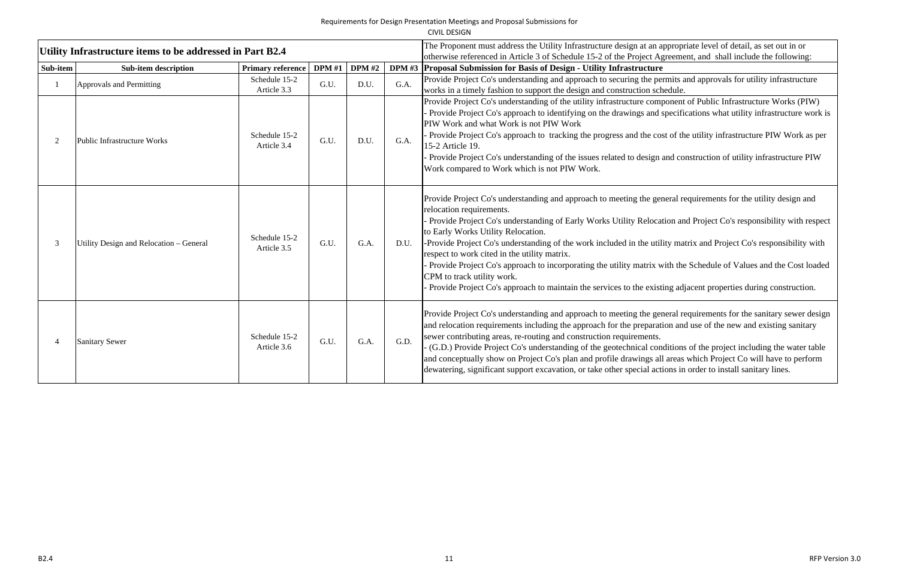|                |                                                           |                              |               |               |      | CIVIL DESIGN                                                                                                                                                                                                                                                                                                                                                                                                                                                                                                  |
|----------------|-----------------------------------------------------------|------------------------------|---------------|---------------|------|---------------------------------------------------------------------------------------------------------------------------------------------------------------------------------------------------------------------------------------------------------------------------------------------------------------------------------------------------------------------------------------------------------------------------------------------------------------------------------------------------------------|
|                | Utility Infrastructure items to be addressed in Part B2.4 |                              |               |               |      | The Proponent must address the Utility Infrastructure design at an a<br>otherwise referenced in Article 3 of Schedule 15-2 of the Project Ag                                                                                                                                                                                                                                                                                                                                                                  |
| Sub-item       | <b>Sub-item description</b>                               | <b>Primary reference</b>     | <b>DPM</b> #1 | <b>DPM #2</b> |      | DPM #3 Proposal Submission for Basis of Design - Utility Infrastructure                                                                                                                                                                                                                                                                                                                                                                                                                                       |
| 1              | Approvals and Permitting                                  | Schedule 15-2<br>Article 3.3 | G.U.          | D.U.          | G.A. | Provide Project Co's understanding and approach to securing the pe<br>works in a timely fashion to support the design and construction sch                                                                                                                                                                                                                                                                                                                                                                    |
| $\overline{2}$ | <b>Public Infrastructure Works</b>                        | Schedule 15-2<br>Article 3.4 | G.U.          | D.U.          | G.A. | Provide Project Co's understanding of the utility infrastructure comp<br>Provide Project Co's approach to identifying on the drawings and a<br>PIW Work and what Work is not PIW Work<br>Provide Project Co's approach to tracking the progress and the co-<br>15-2 Article 19.<br>Provide Project Co's understanding of the issues related to design<br>Work compared to Work which is not PIW Work.                                                                                                         |
| 3              | Utility Design and Relocation - General                   | Schedule 15-2<br>Article 3.5 | G.U.          | G.A.          | D.U. | Provide Project Co's understanding and approach to meeting the gene<br>relocation requirements.<br>Provide Project Co's understanding of Early Works Utility Reloca<br>to Early Works Utility Relocation.<br>-Provide Project Co's understanding of the work included in the util<br>respect to work cited in the utility matrix.<br>Provide Project Co's approach to incorporating the utility matrix w<br>CPM to track utility work.<br>Provide Project Co's approach to maintain the services to the exist |
| 4              | <b>Sanitary Sewer</b>                                     | Schedule 15-2<br>Article 3.6 | G.U.          | G.A.          | G.D. | Provide Project Co's understanding and approach to meeting the general<br>and relocation requirements including the approach for the preparat<br>sewer contributing areas, re-routing and construction requirements.<br>- (G.D.) Provide Project Co's understanding of the geotechnical con<br>and conceptually show on Project Co's plan and profile drawings all<br>dewatering, significant support excavation, or take other special act                                                                   |

appropriate level of detail, as set out in or<br>Agreement, and shall include the following:

permits and approvals for utility infrastructure chedule.

mponent of Public Infrastructure Works (PIW) I specifications what utility infrastructure work is

e Provide Cost of the utility infrastructure PIW Work as per

n and construction of utility infrastructure PIW

general requirements for the utility design and

cation and Project Co's responsibility with respect

tility matrix and Project Co's responsibility with

with the Schedule of Values and the Cost loaded

isting adjacent properties during construction.

general requirements for the sanitary sewer design ation and use of the new and existing sanitary

onditions of the project including the water table all areas which Project Co will have to perform ctions in order to install sanitary lines.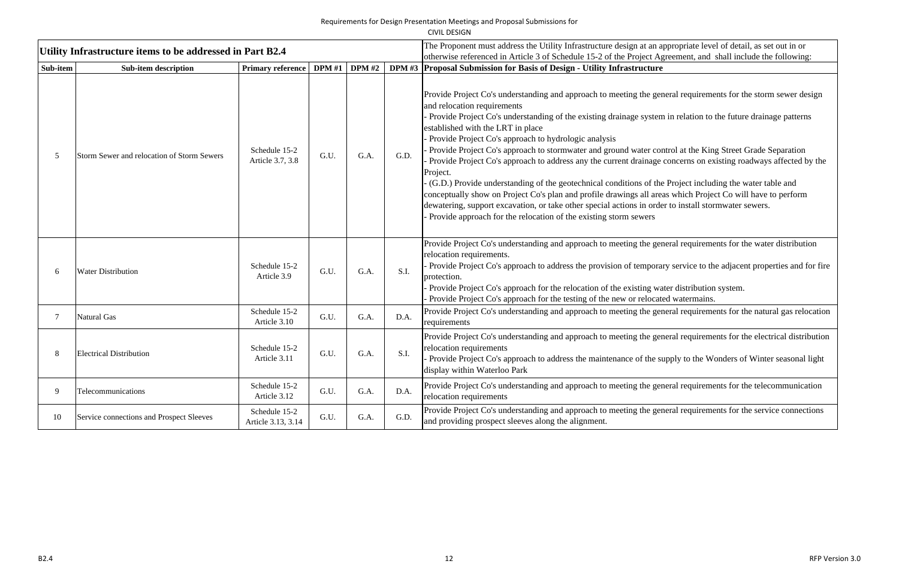|          |                                                           |                                     |               |      |      | CIVIL DESIGN                                                                                                                                                                                                                                                                                                                                                                                                                                                                                                                                                                                                                                                                                                                                                                                                                                                                                                                                                                                                   |
|----------|-----------------------------------------------------------|-------------------------------------|---------------|------|------|----------------------------------------------------------------------------------------------------------------------------------------------------------------------------------------------------------------------------------------------------------------------------------------------------------------------------------------------------------------------------------------------------------------------------------------------------------------------------------------------------------------------------------------------------------------------------------------------------------------------------------------------------------------------------------------------------------------------------------------------------------------------------------------------------------------------------------------------------------------------------------------------------------------------------------------------------------------------------------------------------------------|
|          | Utility Infrastructure items to be addressed in Part B2.4 |                                     |               |      |      | The Proponent must address the Utility Infrastructure design at an appropriate level of detail, as set out in or<br>otherwise referenced in Article 3 of Schedule 15-2 of the Project Agreement, and shall include the following:                                                                                                                                                                                                                                                                                                                                                                                                                                                                                                                                                                                                                                                                                                                                                                              |
| Sub-item | <b>Sub-item description</b>                               | <b>Primary reference</b>            | DPM #1 DPM #2 |      |      | DPM #3 Proposal Submission for Basis of Design - Utility Infrastructure                                                                                                                                                                                                                                                                                                                                                                                                                                                                                                                                                                                                                                                                                                                                                                                                                                                                                                                                        |
|          | Storm Sewer and relocation of Storm Sewers                | Schedule 15-2<br>Article 3.7, 3.8   | G.U.          | G.A. | G.D. | Provide Project Co's understanding and approach to meeting the general requirements for the storm sewer design<br>and relocation requirements<br>Provide Project Co's understanding of the existing drainage system in relation to the future drainage patterns<br>established with the LRT in place<br>Provide Project Co's approach to hydrologic analysis<br>Provide Project Co's approach to stormwater and ground water control at the King Street Grade Separation<br>Provide Project Co's approach to address any the current drainage concerns on existing roadways affected by the<br>Project.<br>(G.D.) Provide understanding of the geotechnical conditions of the Project including the water table and<br>conceptually show on Project Co's plan and profile drawings all areas which Project Co will have to perform<br>dewatering, support excavation, or take other special actions in order to install stormwater sewers.<br>Provide approach for the relocation of the existing storm sewers |
|          | <b>Water Distribution</b>                                 | Schedule 15-2<br>Article 3.9        | G.U.          | G.A. | S.I. | Provide Project Co's understanding and approach to meeting the general requirements for the water distribution<br>relocation requirements.<br>Provide Project Co's approach to address the provision of temporary service to the adjacent properties and for fire<br>protection.<br>Provide Project Co's approach for the relocation of the existing water distribution system.<br>Provide Project Co's approach for the testing of the new or relocated watermains.                                                                                                                                                                                                                                                                                                                                                                                                                                                                                                                                           |
|          | <b>Natural Gas</b>                                        | Schedule 15-2<br>Article 3.10       | G.U.          | G.A. | D.A. | Provide Project Co's understanding and approach to meeting the general requirements for the natural gas relocation<br>requirements                                                                                                                                                                                                                                                                                                                                                                                                                                                                                                                                                                                                                                                                                                                                                                                                                                                                             |
|          | <b>Electrical Distribution</b>                            | Schedule 15-2<br>Article 3.11       | G.U.          | G.A. | S.I. | Provide Project Co's understanding and approach to meeting the general requirements for the electrical distribution<br>relocation requirements<br>Provide Project Co's approach to address the maintenance of the supply to the Wonders of Winter seasonal light<br>display within Waterloo Park                                                                                                                                                                                                                                                                                                                                                                                                                                                                                                                                                                                                                                                                                                               |
| 9        | Telecommunications                                        | Schedule 15-2<br>Article 3.12       | G.U.          | G.A. | D.A. | Provide Project Co's understanding and approach to meeting the general requirements for the telecommunication<br>relocation requirements                                                                                                                                                                                                                                                                                                                                                                                                                                                                                                                                                                                                                                                                                                                                                                                                                                                                       |
| 10       | Service connections and Prospect Sleeves                  | Schedule 15-2<br>Article 3.13, 3.14 | G.U.          | G.A. | G.D. | Provide Project Co's understanding and approach to meeting the general requirements for the service connections<br>and providing prospect sleeves along the alignment.                                                                                                                                                                                                                                                                                                                                                                                                                                                                                                                                                                                                                                                                                                                                                                                                                                         |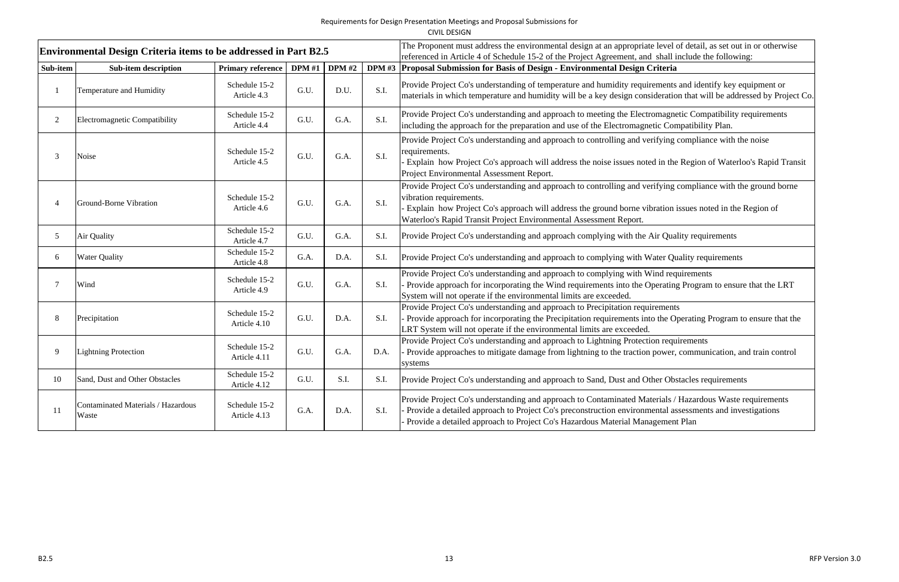CIVIL DESIGN

|                | <b>Environmental Design Criteria items to be addressed in Part B2.5</b> |                               |               |               |      | The Proponent must address the environmental design at an appropriate level of detail, as set out in or otherwise<br>referenced in Article 4 of Schedule 15-2 of the Project Agreement, and shall include the following:                                                                                                 |
|----------------|-------------------------------------------------------------------------|-------------------------------|---------------|---------------|------|--------------------------------------------------------------------------------------------------------------------------------------------------------------------------------------------------------------------------------------------------------------------------------------------------------------------------|
| Sub-item       | <b>Sub-item description</b>                                             | <b>Primary reference</b>      | <b>DPM</b> #1 | <b>DPM</b> #2 |      | DPM #3   Proposal Submission for Basis of Design - Environmental Design Criteria                                                                                                                                                                                                                                         |
|                | Temperature and Humidity                                                | Schedule 15-2<br>Article 4.3  | G.U.          | D.U.          | S.I. | Provide Project Co's understanding of temperature and humidity requirements and identify key equipment or<br>materials in which temperature and humidity will be a key design consideration that will be addressed by Project Co.                                                                                        |
| 2              | Electromagnetic Compatibility                                           | Schedule 15-2<br>Article 4.4  | G.U.          | G.A.          | S.I. | Provide Project Co's understanding and approach to meeting the Electromagnetic Compatibility requirements<br>including the approach for the preparation and use of the Electromagnetic Compatibility Plan.                                                                                                               |
|                | Noise                                                                   | Schedule 15-2<br>Article 4.5  | G.U.          | G.A.          | S.I. | Provide Project Co's understanding and approach to controlling and verifying compliance with the noise<br>requirements.<br>Explain how Project Co's approach will address the noise issues noted in the Region of Waterloo's Rapid Transit<br>Project Environmental Assessment Report.                                   |
|                | Ground-Borne Vibration                                                  | Schedule 15-2<br>Article 4.6  | G.U.          | G.A.          | S.I. | Provide Project Co's understanding and approach to controlling and verifying compliance with the ground borne<br>vibration requirements.<br>Explain how Project Co's approach will address the ground borne vibration issues noted in the Region of<br>Waterloo's Rapid Transit Project Environmental Assessment Report. |
| 5 <sup>5</sup> | Air Quality                                                             | Schedule 15-2<br>Article 4.7  | G.U.          | G.A.          | S.I. | Provide Project Co's understanding and approach complying with the Air Quality requirements                                                                                                                                                                                                                              |
| 6              | <b>Water Quality</b>                                                    | Schedule 15-2<br>Article 4.8  | G.A.          | D.A.          | S.I. | Provide Project Co's understanding and approach to complying with Water Quality requirements                                                                                                                                                                                                                             |
|                | Wind                                                                    | Schedule 15-2<br>Article 4.9  | G.U.          | G.A.          | S.I. | Provide Project Co's understanding and approach to complying with Wind requirements<br>Provide approach for incorporating the Wind requirements into the Operating Program to ensure that the LRT<br>System will not operate if the environmental limits are exceeded.                                                   |
| 8              | Precipitation                                                           | Schedule 15-2<br>Article 4.10 | G.U.          | D.A.          | S.I. | Provide Project Co's understanding and approach to Precipitation requirements<br>Provide approach for incorporating the Precipitation requirements into the Operating Program to ensure that the<br>LRT System will not operate if the environmental limits are exceeded.                                                |
| 9              | <b>Lightning Protection</b>                                             | Schedule 15-2<br>Article 4.11 | G.U.          | G.A.          | D.A. | Provide Project Co's understanding and approach to Lightning Protection requirements<br>Provide approaches to mitigate damage from lightning to the traction power, communication, and train control<br>systems                                                                                                          |
| 10             | Sand, Dust and Other Obstacles                                          | Schedule 15-2<br>Article 4.12 | G.U.          | S.I.          | S.I. | Provide Project Co's understanding and approach to Sand, Dust and Other Obstacles requirements                                                                                                                                                                                                                           |
|                | Contaminated Materials / Hazardous<br>Waste                             | Schedule 15-2<br>Article 4.13 | G.A.          | D.A.          | S.I. | Provide Project Co's understanding and approach to Contaminated Materials / Hazardous Waste requirements<br>Provide a detailed approach to Project Co's preconstruction environmental assessments and investigations<br>Provide a detailed approach to Project Co's Hazardous Material Management Plan                   |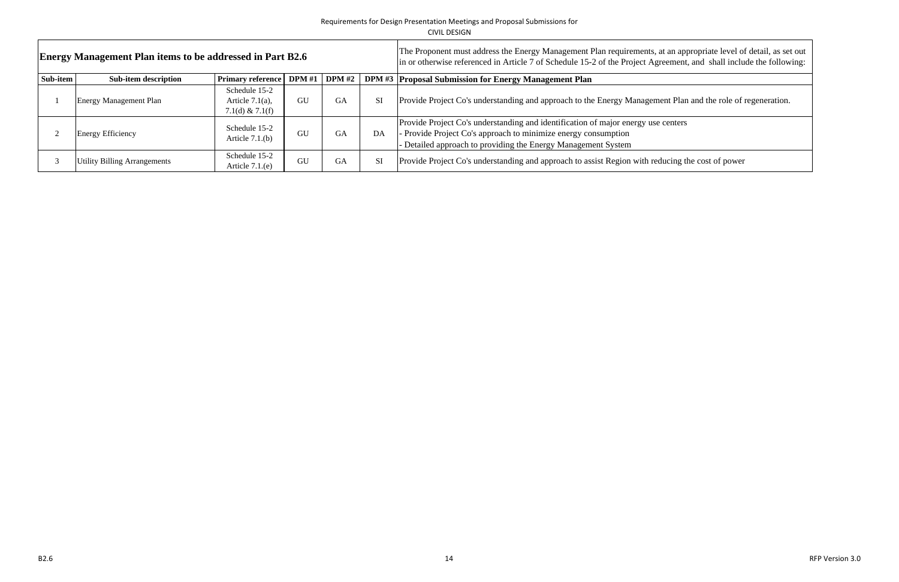|          | <b>Energy Management Plan items to be addressed in Part B2.6</b> |                                                          |        |               | The Proponent must address the Energy Management Plan requirements, at an appropriate level of<br>in or otherwise referenced in Article 7 of Schedule 15-2 of the Project Agreement, and shall inclu |                                                                                                                                                                                                                    |
|----------|------------------------------------------------------------------|----------------------------------------------------------|--------|---------------|------------------------------------------------------------------------------------------------------------------------------------------------------------------------------------------------------|--------------------------------------------------------------------------------------------------------------------------------------------------------------------------------------------------------------------|
| Sub-item | <b>Sub-item description</b>                                      | <b>Primary reference</b>                                 | DPM #1 | <b>DPM</b> #2 |                                                                                                                                                                                                      | <b>DPM #3 Proposal Submission for Energy Management Plan</b>                                                                                                                                                       |
|          | <b>Energy Management Plan</b>                                    | Schedule 15-2<br>Article $7.1(a)$ ,<br>7.1(d) $& 7.1(f)$ | GU     | GA            | SI                                                                                                                                                                                                   | Provide Project Co's understanding and approach to the Energy Management Plan and the role of                                                                                                                      |
|          | <b>Energy Efficiency</b>                                         | Schedule 15-2<br>Article $7.1(b)$                        | GU     | GA            | DA                                                                                                                                                                                                   | Provide Project Co's understanding and identification of major energy use centers<br>- Provide Project Co's approach to minimize energy consumption<br>Detailed approach to providing the Energy Management System |
|          | Utility Billing Arrangements                                     | Schedule 15-2<br>Article $7.1(e)$                        | GU     | GA            | SI                                                                                                                                                                                                   | Provide Project Co's understanding and approach to assist Region with reducing the cost of power                                                                                                                   |

at an appropriate level of detail, as set out<br>reement, and shall include the following:

ent Plan and the role of regeneration.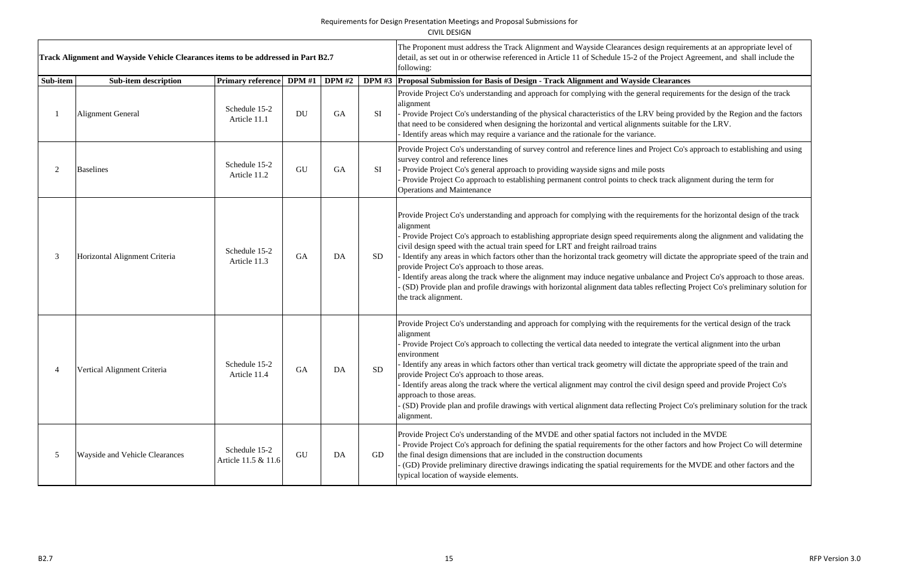|          | Track Alignment and Wayside Vehicle Clearances items to be addressed in Part B2.7 |                                      |               |               |                 | The Proponent must address the Track Alignment and Wayside Clearances design requirements at an appropriate level of<br>detail, as set out in or otherwise referenced in Article 11 of Schedule 15-2 of the Project Agreement, and shall include the<br>following:                                                                                                                                                                                                                                                                                                                                                                                                                                                                                                                                                                      |
|----------|-----------------------------------------------------------------------------------|--------------------------------------|---------------|---------------|-----------------|-----------------------------------------------------------------------------------------------------------------------------------------------------------------------------------------------------------------------------------------------------------------------------------------------------------------------------------------------------------------------------------------------------------------------------------------------------------------------------------------------------------------------------------------------------------------------------------------------------------------------------------------------------------------------------------------------------------------------------------------------------------------------------------------------------------------------------------------|
| Sub-item | <b>Sub-item description</b>                                                       | <b>Primary reference</b>             | <b>DPM</b> #1 | <b>DPM</b> #2 | <b>DPM #3</b>   | Proposal Submission for Basis of Design - Track Alignment and Wayside Clearances                                                                                                                                                                                                                                                                                                                                                                                                                                                                                                                                                                                                                                                                                                                                                        |
|          | <b>Alignment General</b>                                                          | Schedule 15-2<br>Article 11.1        | <b>DU</b>     | <b>GA</b>     | SI              | Provide Project Co's understanding and approach for complying with the general requirements for the design of the track<br>alignment<br>- Provide Project Co's understanding of the physical characteristics of the LRV being provided by the Region and the factors<br>that need to be considered when designing the horizontal and vertical alignments suitable for the LRV.<br>Identify areas which may require a variance and the rationale for the variance.                                                                                                                                                                                                                                                                                                                                                                       |
|          | <b>Baselines</b>                                                                  | Schedule 15-2<br>Article 11.2        | GU            | <b>GA</b>     | SI              | Provide Project Co's understanding of survey control and reference lines and Project Co's approach to establishing and using<br>survey control and reference lines<br>Provide Project Co's general approach to providing wayside signs and mile posts<br>Provide Project Co approach to establishing permanent control points to check track alignment during the term for<br><b>Operations and Maintenance</b>                                                                                                                                                                                                                                                                                                                                                                                                                         |
|          | Horizontal Alignment Criteria                                                     | Schedule 15-2<br>Article 11.3        | GA            | DA            | <b>SD</b>       | Provide Project Co's understanding and approach for complying with the requirements for the horizontal design of the track<br>alignment<br>Provide Project Co's approach to establishing appropriate design speed requirements along the alignment and validating the<br>civil design speed with the actual train speed for LRT and freight railroad trains<br>Identify any areas in which factors other than the horizontal track geometry will dictate the appropriate speed of the train and<br>provide Project Co's approach to those areas.<br>Identify areas along the track where the alignment may induce negative unbalance and Project Co's approach to those areas.<br>(SD) Provide plan and profile drawings with horizontal alignment data tables reflecting Project Co's preliminary solution for<br>the track alignment. |
|          | Vertical Alignment Criteria                                                       | Schedule 15-2<br>Article 11.4        | GA            | DA            | SD <sub>.</sub> | Provide Project Co's understanding and approach for complying with the requirements for the vertical design of the track<br>alignment<br>Provide Project Co's approach to collecting the vertical data needed to integrate the vertical alignment into the urban<br>environment<br>Identify any areas in which factors other than vertical track geometry will dictate the appropriate speed of the train and<br>provide Project Co's approach to those areas.<br>Identify areas along the track where the vertical alignment may control the civil design speed and provide Project Co's<br>approach to those areas.<br>(SD) Provide plan and profile drawings with vertical alignment data reflecting Project Co's preliminary solution for the track<br>alignment.                                                                   |
| 5        | Wayside and Vehicle Clearances                                                    | Schedule 15-2<br>Article 11.5 & 11.6 | GU            | DA            | GD              | Provide Project Co's understanding of the MVDE and other spatial factors not included in the MVDE<br>Provide Project Co's approach for defining the spatial requirements for the other factors and how Project Co will determine<br>the final design dimensions that are included in the construction documents<br>(GD) Provide preliminary directive drawings indicating the spatial requirements for the MVDE and other factors and the<br>typical location of wayside elements.                                                                                                                                                                                                                                                                                                                                                      |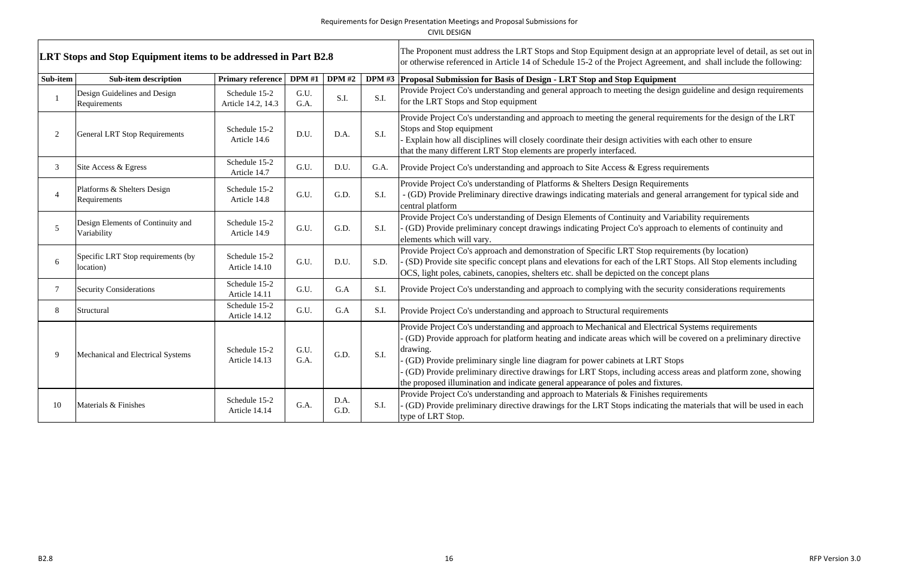| CIVIL DESIGN |
|--------------|
|              |

─ा

|                | <b>LRT Stops and Stop Equipment items to be addressed in Part B2.8</b> |                                     |              |               |      | The Proponent must address the LRT Stops and Stop Equipment design at an appropriate level of detail, as set out in<br>or otherwise referenced in Article 14 of Schedule 15-2 of the Project Agreement, and shall include the following:                                                                                                                                                                                                                                                                            |  |
|----------------|------------------------------------------------------------------------|-------------------------------------|--------------|---------------|------|---------------------------------------------------------------------------------------------------------------------------------------------------------------------------------------------------------------------------------------------------------------------------------------------------------------------------------------------------------------------------------------------------------------------------------------------------------------------------------------------------------------------|--|
| Sub-item       | <b>Sub-item description</b>                                            | Primary reference   DPM #1          |              | <b>DPM</b> #2 |      | DPM #3 Proposal Submission for Basis of Design - LRT Stop and Stop Equipment                                                                                                                                                                                                                                                                                                                                                                                                                                        |  |
|                | Design Guidelines and Design<br>Requirements                           | Schedule 15-2<br>Article 14.2, 14.3 | G.U.<br>G.A. | S.I.          | S.I. | Provide Project Co's understanding and general approach to meeting the design guideline and design requirements<br>for the LRT Stops and Stop equipment                                                                                                                                                                                                                                                                                                                                                             |  |
| 2              | <b>General LRT Stop Requirements</b>                                   | Schedule 15-2<br>Article 14.6       | D.U.         | D.A.          | S.I. | Provide Project Co's understanding and approach to meeting the general requirements for the design of the LRT<br>Stops and Stop equipment<br>Explain how all disciplines will closely coordinate their design activities with each other to ensure<br>that the many different LRT Stop elements are properly interfaced.                                                                                                                                                                                            |  |
| $\mathfrak{Z}$ | Site Access & Egress                                                   | Schedule 15-2<br>Article 14.7       | G.U.         | D.U.          | G.A. | Provide Project Co's understanding and approach to Site Access & Egress requirements                                                                                                                                                                                                                                                                                                                                                                                                                                |  |
|                | Platforms & Shelters Design<br>Requirements                            | Schedule 15-2<br>Article 14.8       | G.U.         | G.D.          | S.I. | Provide Project Co's understanding of Platforms & Shelters Design Requirements<br>- (GD) Provide Preliminary directive drawings indicating materials and general arrangement for typical side and<br>central platform                                                                                                                                                                                                                                                                                               |  |
| 5              | Design Elements of Continuity and<br>Variability                       | Schedule 15-2<br>Article 14.9       | G.U.         | G.D.          | S.I. | Provide Project Co's understanding of Design Elements of Continuity and Variability requirements<br>(GD) Provide preliminary concept drawings indicating Project Co's approach to elements of continuity and<br>elements which will vary.                                                                                                                                                                                                                                                                           |  |
| 6              | Specific LRT Stop requirements (by<br>location)                        | Schedule 15-2<br>Article 14.10      | G.U.         | D.U.          | S.D. | Provide Project Co's approach and demonstration of Specific LRT Stop requirements (by location)<br>(SD) Provide site specific concept plans and elevations for each of the LRT Stops. All Stop elements including<br>OCS, light poles, cabinets, canopies, shelters etc. shall be depicted on the concept plans                                                                                                                                                                                                     |  |
|                | Security Considerations                                                | Schedule 15-2<br>Article 14.11      | G.U.         | G.A           | S.I. | Provide Project Co's understanding and approach to complying with the security considerations requirements                                                                                                                                                                                                                                                                                                                                                                                                          |  |
| 8              | Structural                                                             | Schedule 15-2<br>Article 14.12      | G.U.         | G.A           | S.I. | Provide Project Co's understanding and approach to Structural requirements                                                                                                                                                                                                                                                                                                                                                                                                                                          |  |
| 9              | Mechanical and Electrical Systems                                      | Schedule 15-2<br>Article 14.13      | G.U.<br>G.A. | G.D.          | S.I. | Provide Project Co's understanding and approach to Mechanical and Electrical Systems requirements<br>(GD) Provide approach for platform heating and indicate areas which will be covered on a preliminary directive<br>drawing.<br>(GD) Provide preliminary single line diagram for power cabinets at LRT Stops<br>(GD) Provide preliminary directive drawings for LRT Stops, including access areas and platform zone, showing<br>the proposed illumination and indicate general appearance of poles and fixtures. |  |
| 10             | Materials & Finishes                                                   | Schedule 15-2<br>Article 14.14      | G.A.         | D.A.<br>G.D.  | S.I. | Provide Project Co's understanding and approach to Materials & Finishes requirements<br>(GD) Provide preliminary directive drawings for the LRT Stops indicating the materials that will be used in each<br>type of LRT Stop.                                                                                                                                                                                                                                                                                       |  |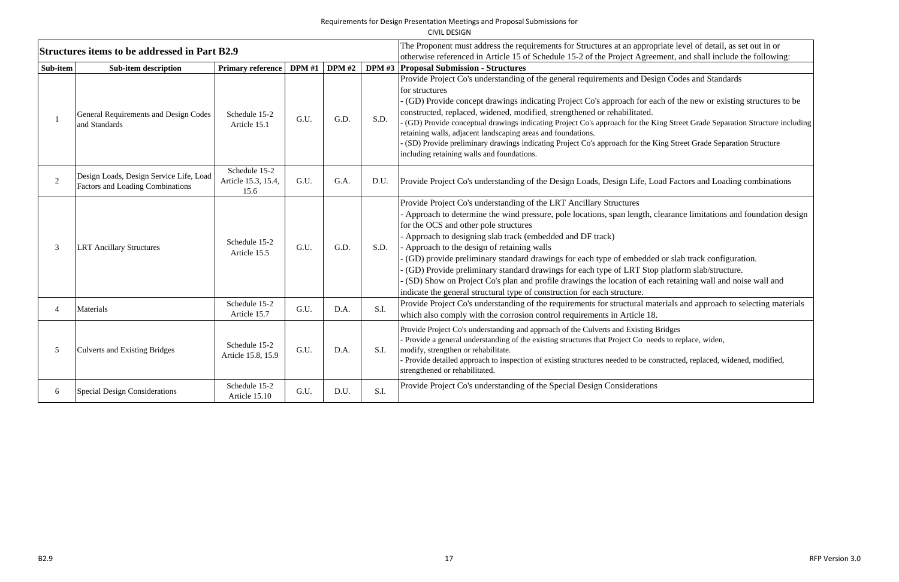CIVIL DESIGN

|                | Structures items to be addressed in Part B2.9                                      |                                              |               |               |      | The Proponent must address the requirements for Structures at an appropriate level of detail, as set out in or<br>otherwise referenced in Article 15 of Schedule 15-2 of the Project Agreement, and shall include the following:                                                                                                                                                                                                                                                                                                                                                                                                                                                                                                          |
|----------------|------------------------------------------------------------------------------------|----------------------------------------------|---------------|---------------|------|-------------------------------------------------------------------------------------------------------------------------------------------------------------------------------------------------------------------------------------------------------------------------------------------------------------------------------------------------------------------------------------------------------------------------------------------------------------------------------------------------------------------------------------------------------------------------------------------------------------------------------------------------------------------------------------------------------------------------------------------|
| Sub-item       | <b>Sub-item description</b>                                                        | Primary reference                            | <b>DPM</b> #1 | <b>DPM</b> #2 |      | <b>DPM #3 Proposal Submission - Structures</b>                                                                                                                                                                                                                                                                                                                                                                                                                                                                                                                                                                                                                                                                                            |
|                | General Requirements and Design Codes<br>and Standards                             | Schedule 15-2<br>Article 15.1                | G.U.          | G.D.          | S.D. | Provide Project Co's understanding of the general requirements and Design Codes and Standards<br>for structures<br>(GD) Provide concept drawings indicating Project Co's approach for each of the new or existing structures to be<br>constructed, replaced, widened, modified, strengthened or rehabilitated.<br>(GD) Provide conceptual drawings indicating Project Co's approach for the King Street Grade Separation Structure including<br>retaining walls, adjacent landscaping areas and foundations.<br>(SD) Provide preliminary drawings indicating Project Co's approach for the King Street Grade Separation Structure<br>including retaining walls and foundations.                                                           |
| $\overline{2}$ | Design Loads, Design Service Life, Load<br><b>Factors and Loading Combinations</b> | Schedule 15-2<br>Article 15.3, 15.4,<br>15.6 | G.U.          | G.A.          | D.U. | Provide Project Co's understanding of the Design Loads, Design Life, Load Factors and Loading combinations                                                                                                                                                                                                                                                                                                                                                                                                                                                                                                                                                                                                                                |
|                | <b>LRT Ancillary Structures</b>                                                    | Schedule 15-2<br>Article 15.5                | G.U.          | G.D.          | S.D. | Provide Project Co's understanding of the LRT Ancillary Structures<br>Approach to determine the wind pressure, pole locations, span length, clearance limitations and foundation design<br>for the OCS and other pole structures<br>Approach to designing slab track (embedded and DF track)<br>Approach to the design of retaining walls<br>(GD) provide preliminary standard drawings for each type of embedded or slab track configuration.<br>(GD) Provide preliminary standard drawings for each type of LRT Stop platform slab/structure.<br>(SD) Show on Project Co's plan and profile drawings the location of each retaining wall and noise wall and<br>indicate the general structural type of construction for each structure. |
|                | Materials                                                                          | Schedule 15-2<br>Article 15.7                | G.U.          | D.A.          | S.I. | Provide Project Co's understanding of the requirements for structural materials and approach to selecting materials<br>which also comply with the corrosion control requirements in Article 18.                                                                                                                                                                                                                                                                                                                                                                                                                                                                                                                                           |
| 5              | <b>Culverts and Existing Bridges</b>                                               | Schedule 15-2<br>Article 15.8, 15.9          | G.U.          | D.A.          | S.I. | Provide Project Co's understanding and approach of the Culverts and Existing Bridges<br>Provide a general understanding of the existing structures that Project Co needs to replace, widen,<br>modify, strengthen or rehabilitate.<br>Provide detailed approach to inspection of existing structures needed to be constructed, replaced, widened, modified,<br>strengthened or rehabilitated.                                                                                                                                                                                                                                                                                                                                             |
| 6              | <b>Special Design Considerations</b>                                               | Schedule 15-2<br>Article 15.10               | G.U.          | D.U.          | S.I. | Provide Project Co's understanding of the Special Design Considerations                                                                                                                                                                                                                                                                                                                                                                                                                                                                                                                                                                                                                                                                   |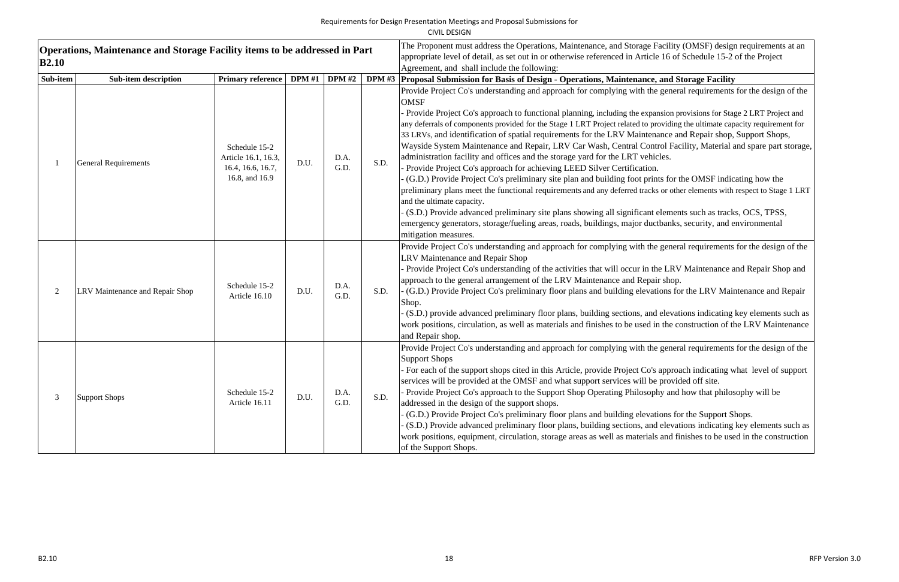|                                                                                                   |                                 |                                                                             |               |              |      | CIVIL DESIGN                                                                                                                                                                                                                                                                                                                                                                                                                                                                                                                                                                                                                                                                                                                                                                                                                                                                                                                                                                                                                                                                                                                                                                                                                                                                                                       |  |
|---------------------------------------------------------------------------------------------------|---------------------------------|-----------------------------------------------------------------------------|---------------|--------------|------|--------------------------------------------------------------------------------------------------------------------------------------------------------------------------------------------------------------------------------------------------------------------------------------------------------------------------------------------------------------------------------------------------------------------------------------------------------------------------------------------------------------------------------------------------------------------------------------------------------------------------------------------------------------------------------------------------------------------------------------------------------------------------------------------------------------------------------------------------------------------------------------------------------------------------------------------------------------------------------------------------------------------------------------------------------------------------------------------------------------------------------------------------------------------------------------------------------------------------------------------------------------------------------------------------------------------|--|
| <b>Operations, Maintenance and Storage Facility items to be addressed in Part</b><br><b>B2.10</b> |                                 |                                                                             |               |              |      | The Proponent must address the Operations, Maintenance, and Storage Facility (OMSF) design requirements at an<br>appropriate level of detail, as set out in or otherwise referenced in Article 16 of Schedule 15-2 of the Project<br>Agreement, and shall include the following:                                                                                                                                                                                                                                                                                                                                                                                                                                                                                                                                                                                                                                                                                                                                                                                                                                                                                                                                                                                                                                   |  |
| Sub-item                                                                                          | <b>Sub-item description</b>     | <b>Primary reference</b>                                                    | DPM #1 DPM #2 |              |      | DPM #3 Proposal Submission for Basis of Design - Operations, Maintenance, and Storage Facility                                                                                                                                                                                                                                                                                                                                                                                                                                                                                                                                                                                                                                                                                                                                                                                                                                                                                                                                                                                                                                                                                                                                                                                                                     |  |
|                                                                                                   | <b>General Requirements</b>     | Schedule 15-2<br>Article 16.1, 16.3,<br>16.4, 16.6, 16.7,<br>16.8, and 16.9 | D.U.          | D.A.<br>G.D. | S.D. | Provide Project Co's understanding and approach for complying with the general requirements for the design of the<br><b>OMSF</b><br>Provide Project Co's approach to functional planning, including the expansion provisions for Stage 2 LRT Project and<br>any deferrals of components provided for the Stage 1 LRT Project related to providing the ultimate capacity requirement for<br>33 LRVs, and identification of spatial requirements for the LRV Maintenance and Repair shop, Support Shops,<br>Wayside System Maintenance and Repair, LRV Car Wash, Central Control Facility, Material and spare part storage,<br>administration facility and offices and the storage yard for the LRT vehicles.<br>Provide Project Co's approach for achieving LEED Silver Certification.<br>(G.D.) Provide Project Co's preliminary site plan and building foot prints for the OMSF indicating how the<br>preliminary plans meet the functional requirements and any deferred tracks or other elements with respect to Stage 1 LRT<br>and the ultimate capacity.<br>(S.D.) Provide advanced preliminary site plans showing all significant elements such as tracks, OCS, TPSS,<br>emergency generators, storage/fueling areas, roads, buildings, major ductbanks, security, and environmental<br>mitigation measures. |  |
| 2                                                                                                 | LRV Maintenance and Repair Shop | Schedule 15-2<br>Article 16.10                                              | D.U.          | D.A.<br>G.D. | S.D. | Provide Project Co's understanding and approach for complying with the general requirements for the design of the<br>LRV Maintenance and Repair Shop<br>Provide Project Co's understanding of the activities that will occur in the LRV Maintenance and Repair Shop and<br>approach to the general arrangement of the LRV Maintenance and Repair shop.<br>(G.D.) Provide Project Co's preliminary floor plans and building elevations for the LRV Maintenance and Repair<br>Shop.<br>(S.D.) provide advanced preliminary floor plans, building sections, and elevations indicating key elements such as<br>work positions, circulation, as well as materials and finishes to be used in the construction of the LRV Maintenance<br>and Repair shop.                                                                                                                                                                                                                                                                                                                                                                                                                                                                                                                                                                |  |
| 3                                                                                                 | <b>Support Shops</b>            | Schedule 15-2<br>Article 16.11                                              | D.U.          | D.A.<br>G.D. | S.D. | Provide Project Co's understanding and approach for complying with the general requirements for the design of the<br><b>Support Shops</b><br>For each of the support shops cited in this Article, provide Project Co's approach indicating what level of support<br>services will be provided at the OMSF and what support services will be provided off site.<br>Provide Project Co's approach to the Support Shop Operating Philosophy and how that philosophy will be<br>addressed in the design of the support shops.<br>(G.D.) Provide Project Co's preliminary floor plans and building elevations for the Support Shops.<br>(S.D.) Provide advanced preliminary floor plans, building sections, and elevations indicating key elements such as<br>work positions, equipment, circulation, storage areas as well as materials and finishes to be used in the construction<br>of the Support Shops.                                                                                                                                                                                                                                                                                                                                                                                                           |  |

| acility (OMSF) design requirements at an<br>16 of Schedule 15-2 of the Project                                                                                                                   |
|--------------------------------------------------------------------------------------------------------------------------------------------------------------------------------------------------|
| and Storage Facility                                                                                                                                                                             |
| general requirements for the design of the                                                                                                                                                       |
| nsion provisions for Stage 2 LRT Project and<br>oviding the ultimate capacity requirement for<br>ance and Repair shop, Support Shops,<br>rol Facility, Material and spare part storage,<br>eles. |
| ts for the OMSF indicating how the<br>or other elements with respect to Stage 1 LRT                                                                                                              |
| elements such as tracks, OCS, TPSS,<br>tbanks, security, and environmental                                                                                                                       |
| general requirements for the design of the                                                                                                                                                       |
| e LRV Maintenance and Repair Shop and<br>r shop.<br>ions for the LRV Maintenance and Repair                                                                                                      |
| elevations indicating key elements such as<br>i the construction of the LRV Maintenance                                                                                                          |
| general requirements for the design of the                                                                                                                                                       |
| approach indicating what level of support<br>provided off site.<br>ny and how that philosophy will be                                                                                            |
| ions for the Support Shops.<br>elevations indicating key elements such as<br>and finishes to be used in the construction                                                                         |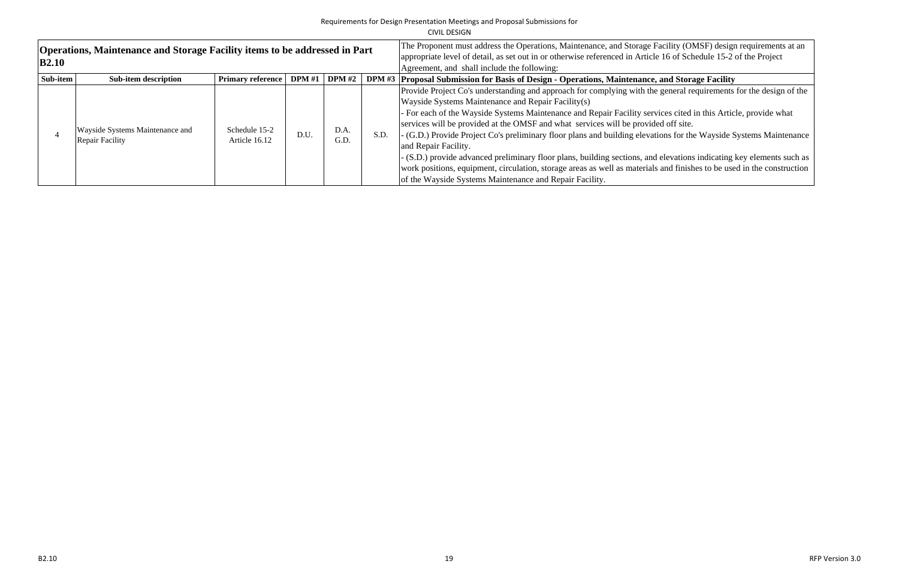|              |                                                                                   |                                |                                                                                                                                                                                                       |              |      | CIVIL DESIGN                                                                                                                                                                                                                                                                                                                                                                                                                                                                                                                                                                                                   |
|--------------|-----------------------------------------------------------------------------------|--------------------------------|-------------------------------------------------------------------------------------------------------------------------------------------------------------------------------------------------------|--------------|------|----------------------------------------------------------------------------------------------------------------------------------------------------------------------------------------------------------------------------------------------------------------------------------------------------------------------------------------------------------------------------------------------------------------------------------------------------------------------------------------------------------------------------------------------------------------------------------------------------------------|
| <b>B2.10</b> | <b>Operations, Maintenance and Storage Facility items to be addressed in Part</b> |                                | The Proponent must address the Operations, Maintenance, and Storage F<br>appropriate level of detail, as set out in or otherwise referenced in Article<br>Agreement, and shall include the following: |              |      |                                                                                                                                                                                                                                                                                                                                                                                                                                                                                                                                                                                                                |
| Sub-item     | Sub-item description                                                              | <b>Primary reference</b>       | <b>DPM</b> #1                                                                                                                                                                                         | DPM#2        |      | DPM #3   Proposal Submission for Basis of Design - Operations, Maintenance,                                                                                                                                                                                                                                                                                                                                                                                                                                                                                                                                    |
|              | Wayside Systems Maintenance and<br><b>Repair Facility</b>                         | Schedule 15-2<br>Article 16.12 | D.U.                                                                                                                                                                                                  | D.A.<br>G.D. | S.D. | Provide Project Co's understanding and approach for complying with the<br>Wayside Systems Maintenance and Repair Facility(s)<br>- For each of the Wayside Systems Maintenance and Repair Facility serv.<br>services will be provided at the OMSF and what services will be provide<br>- (G.D.) Provide Project Co's preliminary floor plans and building elevati<br>and Repair Facility.<br>- (S.D.) provide advanced preliminary floor plans, building sections, and<br>work positions, equipment, circulation, storage areas as well as materials<br>of the Wayside Systems Maintenance and Repair Facility. |

Facility (OMSF) design requirements at an allevel 16 of Schedule 15-2 of the Project

## and Storage Facility

expedience Propide project conducts for the design of the

- rices cited in this Article, provide what ed off site.
- ions for the Wayside Systems Maintenance

elevations indicating key elements such as and finishes to be used in the construction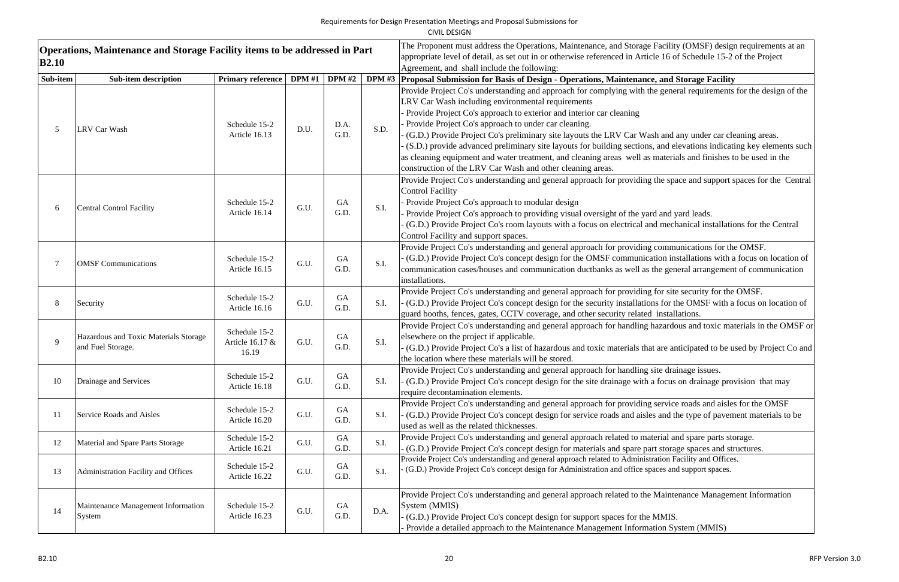| <b>B2.10</b> | Operations, Maintenance and Storage Facility items to be addressed in Part |                                           |               |                   |               | The Proponent must address the Operations, Maintenance, and Storage Facility (OMSF) design requirements at an<br>appropriate level of detail, as set out in or otherwise referenced in Article 16 of Schedule 15-2 of the Project<br>Agreement, and shall include the following:                                                                                                                                                                                                                                                                                                                                                                                                                                        |
|--------------|----------------------------------------------------------------------------|-------------------------------------------|---------------|-------------------|---------------|-------------------------------------------------------------------------------------------------------------------------------------------------------------------------------------------------------------------------------------------------------------------------------------------------------------------------------------------------------------------------------------------------------------------------------------------------------------------------------------------------------------------------------------------------------------------------------------------------------------------------------------------------------------------------------------------------------------------------|
| Sub-item     | <b>Sub-item description</b>                                                | <b>Primary reference</b>                  | <b>DPM</b> #1 | <b>DPM</b> #2     | <b>DPM #3</b> | Proposal Submission for Basis of Design - Operations, Maintenance, and Storage Facility                                                                                                                                                                                                                                                                                                                                                                                                                                                                                                                                                                                                                                 |
|              | <b>LRV Car Wash</b>                                                        | Schedule 15-2<br>Article 16.13            | D.U.          | D.A.<br>G.D.      | S.D.          | Provide Project Co's understanding and approach for complying with the general requirements for the design of the<br>LRV Car Wash including environmental requirements<br>Provide Project Co's approach to exterior and interior car cleaning<br>Provide Project Co's approach to under car cleaning.<br>(G.D.) Provide Project Co's preliminary site layouts the LRV Car Wash and any under car cleaning areas.<br>(S.D.) provide advanced preliminary site layouts for building sections, and elevations indicating key elements such<br>as cleaning equipment and water treatment, and cleaning areas well as materials and finishes to be used in the<br>construction of the LRV Car Wash and other cleaning areas. |
| 6            | <b>Central Control Facility</b>                                            | Schedule 15-2<br>Article 16.14            | G.U.          | <b>GA</b><br>G.D. | S.I.          | Provide Project Co's understanding and general approach for providing the space and support spaces for the Central<br><b>Control Facility</b><br>Provide Project Co's approach to modular design<br>Provide Project Co's approach to providing visual oversight of the yard and yard leads.<br>(G.D.) Provide Project Co's room layouts with a focus on electrical and mechanical installations for the Central<br>Control Facility and support spaces.                                                                                                                                                                                                                                                                 |
|              | <b>OMSF</b> Communications                                                 | Schedule 15-2<br>Article 16.15            | G.U.          | <b>GA</b><br>G.D. | S.I.          | Provide Project Co's understanding and general approach for providing communications for the OMSF.<br>(G.D.) Provide Project Co's concept design for the OMSF communication installations with a focus on location of<br>communication cases/houses and communication ductbanks as well as the general arrangement of communication<br>installations.                                                                                                                                                                                                                                                                                                                                                                   |
|              | Security                                                                   | Schedule 15-2<br>Article 16.16            | G.U.          | <b>GA</b><br>G.D. | S.I.          | Provide Project Co's understanding and general approach for providing for site security for the OMSF.<br>(G.D.) Provide Project Co's concept design for the security installations for the OMSF with a focus on location of<br>guard booths, fences, gates, CCTV coverage, and other security related installations.                                                                                                                                                                                                                                                                                                                                                                                                    |
|              | Hazardous and Toxic Materials Storage<br>and Fuel Storage.                 | Schedule 15-2<br>Article 16.17 &<br>16.19 | G.U.          | <b>GA</b><br>G.D. | S.I.          | Provide Project Co's understanding and general approach for handling hazardous and toxic materials in the OMSF or<br>elsewhere on the project if applicable.<br>(G.D.) Provide Project Co's a list of hazardous and toxic materials that are anticipated to be used by Project Co and<br>the location where these materials will be stored.                                                                                                                                                                                                                                                                                                                                                                             |
| 10           | Drainage and Services                                                      | Schedule 15-2<br>Article 16.18            | G.U.          | <b>GA</b><br>G.D. | S.I.          | Provide Project Co's understanding and general approach for handling site drainage issues.<br>(G.D.) Provide Project Co's concept design for the site drainage with a focus on drainage provision that may<br>require decontamination elements.                                                                                                                                                                                                                                                                                                                                                                                                                                                                         |
| 11           | Service Roads and Aisles                                                   | Schedule 15-2<br>Article 16.20            | G.U.          | GA<br>G.D.        | S.I.          | Provide Project Co's understanding and general approach for providing service roads and aisles for the OMSF<br>(G.D.) Provide Project Co's concept design for service roads and aisles and the type of pavement materials to be<br>used as well as the related thicknesses.                                                                                                                                                                                                                                                                                                                                                                                                                                             |
| 12           | Material and Spare Parts Storage                                           | Schedule 15-2<br>Article 16.21            | G.U.          | GA<br>G.D.        | S.I.          | Provide Project Co's understanding and general approach related to material and spare parts storage.<br>(G.D.) Provide Project Co's concept design for materials and spare part storage spaces and structures.                                                                                                                                                                                                                                                                                                                                                                                                                                                                                                          |
| 13           | Administration Facility and Offices                                        | Schedule 15-2<br>Article 16.22            | G.U.          | GA<br>G.D.        | S.I.          | Provide Project Co's understanding and general approach related to Administration Facility and Offices.<br>(G.D.) Provide Project Co's concept design for Administration and office spaces and support spaces.                                                                                                                                                                                                                                                                                                                                                                                                                                                                                                          |
| 14           | Maintenance Management Information<br>System                               | Schedule 15-2<br>Article 16.23            | G.U.          | GA<br>G.D.        | D.A.          | Provide Project Co's understanding and general approach related to the Maintenance Management Information<br>System (MMIS)<br>(G.D.) Provide Project Co's concept design for support spaces for the MMIS.<br>Provide a detailed approach to the Maintenance Management Information System (MMIS)                                                                                                                                                                                                                                                                                                                                                                                                                        |

| acility (OMSF) design requirements at an<br>16 of Schedule 15-2 of the Project                                               |
|------------------------------------------------------------------------------------------------------------------------------|
| and Storage Facility                                                                                                         |
| general requirements for the design of the                                                                                   |
| and any under car cleaning areas.<br>and elevations indicating key elements such<br>naterials and finishes to be used in the |
| he space and support spaces for the Central                                                                                  |
| and yard leads.<br>mechanical installations for the Central                                                                  |
| ommunications for the OMSF.<br>on installations with a focus on location of                                                  |
| e general arrangement of communication                                                                                       |
| or site security for the OMSF.                                                                                               |
| for the OMSF with a focus on location of<br>installations.                                                                   |
| izardous and toxic materials in the OMSF or                                                                                  |
| are anticipated to be used by Project Co and                                                                                 |
| te drainage issues.                                                                                                          |
| focus on drainage provision that may                                                                                         |
| ervice roads and aisles for the OMSF                                                                                         |
| and the type of pavement materials to be                                                                                     |
| rial and spare parts storage.                                                                                                |
| storage spaces and structures.<br>tion Facility and Offices.                                                                 |
| ces and support spaces.                                                                                                      |
| <b>Maintenance Management Information</b>                                                                                    |
| IMIS.                                                                                                                        |

ion System (MMIS)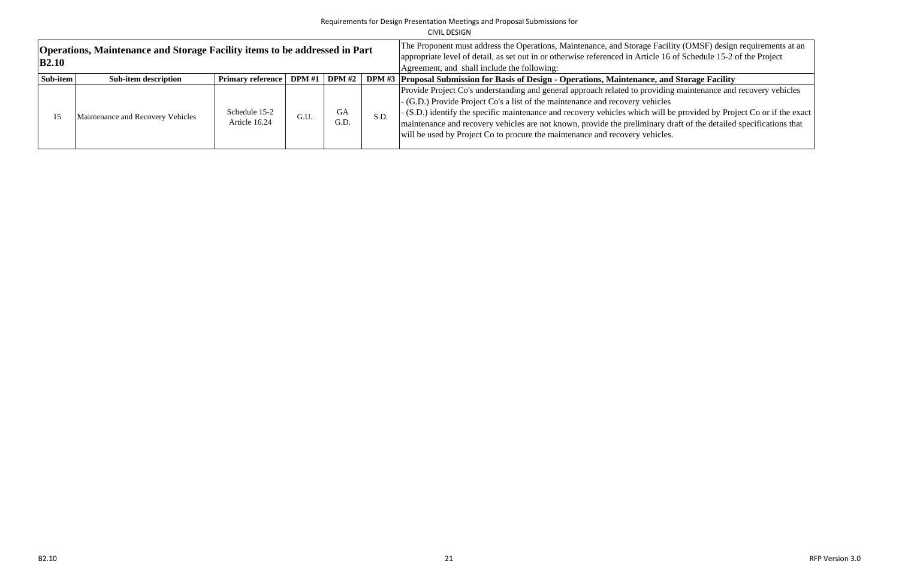|              |                                                                                   |                                |                                                                                                                                                                |                   |      | CIVIL DESIGN                                                                                                                                                                                                                                                                                                                                                                                                  |
|--------------|-----------------------------------------------------------------------------------|--------------------------------|----------------------------------------------------------------------------------------------------------------------------------------------------------------|-------------------|------|---------------------------------------------------------------------------------------------------------------------------------------------------------------------------------------------------------------------------------------------------------------------------------------------------------------------------------------------------------------------------------------------------------------|
| <b>B2.10</b> | <b>Operations, Maintenance and Storage Facility items to be addressed in Part</b> |                                | The Proponent must address the Operations, Maintenance, and Storage Facili<br>appropriate level of detail, as set out in or otherwise referenced in Article 16 |                   |      |                                                                                                                                                                                                                                                                                                                                                                                                               |
|              |                                                                                   |                                | Agreement, and shall include the following:                                                                                                                    |                   |      |                                                                                                                                                                                                                                                                                                                                                                                                               |
| Sub-item     | <b>Sub-item description</b>                                                       | <b>Primary reference</b>       | <b>DPM</b> #1                                                                                                                                                  | <b>DPM</b> #2     |      | DPM #3 Proposal Submission for Basis of Design - Operations, Maintenance, and                                                                                                                                                                                                                                                                                                                                 |
| 15           | Maintenance and Recovery Vehicles                                                 | Schedule 15-2<br>Article 16.24 | G.U.                                                                                                                                                           | <b>GA</b><br>G.D. | S.D. | Provide Project Co's understanding and general approach related to providing<br>- (G.D.) Provide Project Co's a list of the maintenance and recovery vehicles<br>- (S.D.) identify the specific maintenance and recovery vehicles which will b<br>maintenance and recovery vehicles are not known, provide the preliminary di<br>will be used by Project Co to procure the maintenance and recovery vehicles. |

Facility (OMSF) design requirements at an 16 of Schedule 15-2 of the Project

# and Storage Facility

iding maintenance and recovery vehicles

ill be provided by Project Co or if the exact ry draft of the detailed specifications that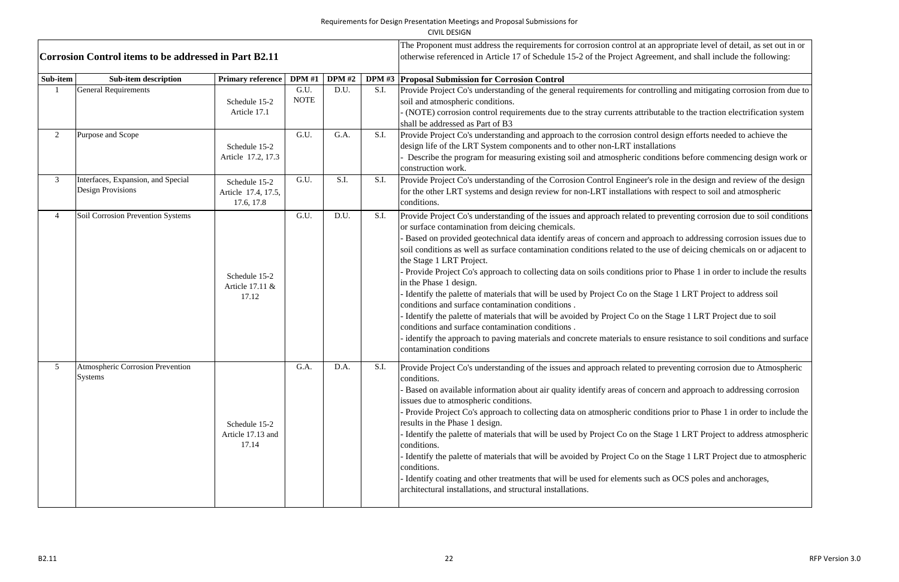| <b>Corrosion Control items to be addressed in Part B2.11</b> |                                                                |                                                    |                     |               |      | The Proponent must address the requirements for corrosion control at an appropriate level of detail, as set out in or<br>otherwise referenced in Article 17 of Schedule 15-2 of the Project Agreement, and shall include the following:                                                                                                                                                                                                                                                                                                                                                                                                                                                                                                                                                                                                                                                                                                                                                                                                                                                               |
|--------------------------------------------------------------|----------------------------------------------------------------|----------------------------------------------------|---------------------|---------------|------|-------------------------------------------------------------------------------------------------------------------------------------------------------------------------------------------------------------------------------------------------------------------------------------------------------------------------------------------------------------------------------------------------------------------------------------------------------------------------------------------------------------------------------------------------------------------------------------------------------------------------------------------------------------------------------------------------------------------------------------------------------------------------------------------------------------------------------------------------------------------------------------------------------------------------------------------------------------------------------------------------------------------------------------------------------------------------------------------------------|
| Sub-item                                                     | <b>Sub-item description</b>                                    | <b>Primary reference</b>                           | <b>DPM</b> #1       | <b>DPM</b> #2 |      | DPM #3 Proposal Submission for Corrosion Control                                                                                                                                                                                                                                                                                                                                                                                                                                                                                                                                                                                                                                                                                                                                                                                                                                                                                                                                                                                                                                                      |
|                                                              | <b>General Requirements</b>                                    | Schedule 15-2<br>Article 17.1                      | G.U.<br><b>NOTE</b> | D.U.          | S.I. | Provide Project Co's understanding of the general requirements for controlling and mitigating corrosion from due to<br>soil and atmospheric conditions.<br>(NOTE) corrosion control requirements due to the stray currents attributable to the traction electrification system<br>shall be addressed as Part of B3                                                                                                                                                                                                                                                                                                                                                                                                                                                                                                                                                                                                                                                                                                                                                                                    |
|                                                              | Purpose and Scope                                              | Schedule 15-2<br>Article 17.2, 17.3                | G.U.                | G.A.          | S.I. | Provide Project Co's understanding and approach to the corrosion control design efforts needed to achieve the<br>design life of the LRT System components and to other non-LRT installations<br>Describe the program for measuring existing soil and atmospheric conditions before commencing design work or<br>construction work.                                                                                                                                                                                                                                                                                                                                                                                                                                                                                                                                                                                                                                                                                                                                                                    |
|                                                              | Interfaces, Expansion, and Special<br><b>Design Provisions</b> | Schedule 15-2<br>Article 17.4, 17.5,<br>17.6, 17.8 | G.U.                | S.I.          | S.I. | Provide Project Co's understanding of the Corrosion Control Engineer's role in the design and review of the design<br>for the other LRT systems and design review for non-LRT installations with respect to soil and atmospheric<br>conditions.                                                                                                                                                                                                                                                                                                                                                                                                                                                                                                                                                                                                                                                                                                                                                                                                                                                       |
|                                                              | Soil Corrosion Prevention Systems                              | Schedule 15-2<br>Article 17.11 &<br>17.12          | G.U.                | D.U.          | S.I. | Provide Project Co's understanding of the issues and approach related to preventing corrosion due to soil conditions<br>or surface contamination from deicing chemicals.<br>Based on provided geotechnical data identify areas of concern and approach to addressing corrosion issues due to<br>soil conditions as well as surface contamination conditions related to the use of deicing chemicals on or adjacent to<br>the Stage 1 LRT Project.<br>- Provide Project Co's approach to collecting data on soils conditions prior to Phase 1 in order to include the results<br>in the Phase 1 design.<br>- Identify the palette of materials that will be used by Project Co on the Stage 1 LRT Project to address soil<br>conditions and surface contamination conditions.<br>- Identify the palette of materials that will be avoided by Project Co on the Stage 1 LRT Project due to soil<br>conditions and surface contamination conditions.<br>identify the approach to paving materials and concrete materials to ensure resistance to soil conditions and surface<br>contamination conditions |
|                                                              | Atmospheric Corrosion Prevention<br><b>Systems</b>             | Schedule 15-2<br>Article 17.13 and<br>17.14        | G.A.                | D.A.          | S.I. | Provide Project Co's understanding of the issues and approach related to preventing corrosion due to Atmospheric<br>conditions.<br>- Based on available information about air quality identify areas of concern and approach to addressing corrosion<br>issues due to atmospheric conditions.<br>- Provide Project Co's approach to collecting data on atmospheric conditions prior to Phase 1 in order to include the<br>results in the Phase 1 design.<br>Identify the palette of materials that will be used by Project Co on the Stage 1 LRT Project to address atmospheric<br>conditions.<br>- Identify the palette of materials that will be avoided by Project Co on the Stage 1 LRT Project due to atmospheric<br>conditions.<br>Identify coating and other treatments that will be used for elements such as OCS poles and anchorages,<br>architectural installations, and structural installations.                                                                                                                                                                                         |